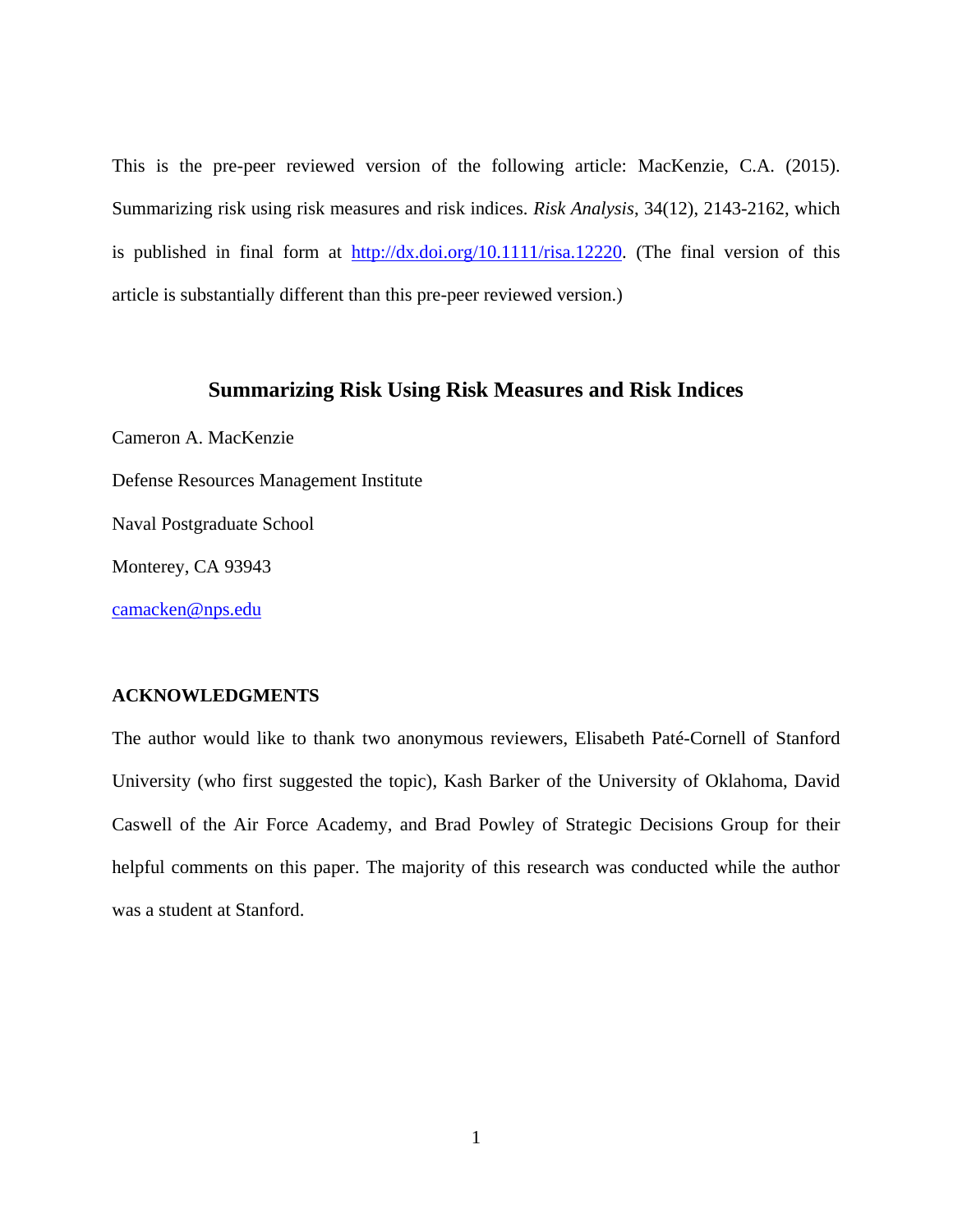This is the pre-peer reviewed version of the following article: MacKenzie, C.A. (2015). Summarizing risk using risk measures and risk indices. *Risk Analysis*, 34(12), 2143-2162, which is published in final form at  $\frac{http://dx.doi.org/10.1111/risa.12220}$ . (The final version of this article is substantially different than this pre-peer reviewed version.)

# **Summarizing Risk Using Risk Measures and Risk Indices**

Cameron A. MacKenzie Defense Resources Management Institute Naval Postgraduate School Monterey, CA 93943 [camacken@nps.edu](mailto:camacken@nps.edu)

# **ACKNOWLEDGMENTS**

The author would like to thank two anonymous reviewers, Elisabeth Paté-Cornell of Stanford University (who first suggested the topic), Kash Barker of the University of Oklahoma, David Caswell of the Air Force Academy, and Brad Powley of Strategic Decisions Group for their helpful comments on this paper. The majority of this research was conducted while the author was a student at Stanford.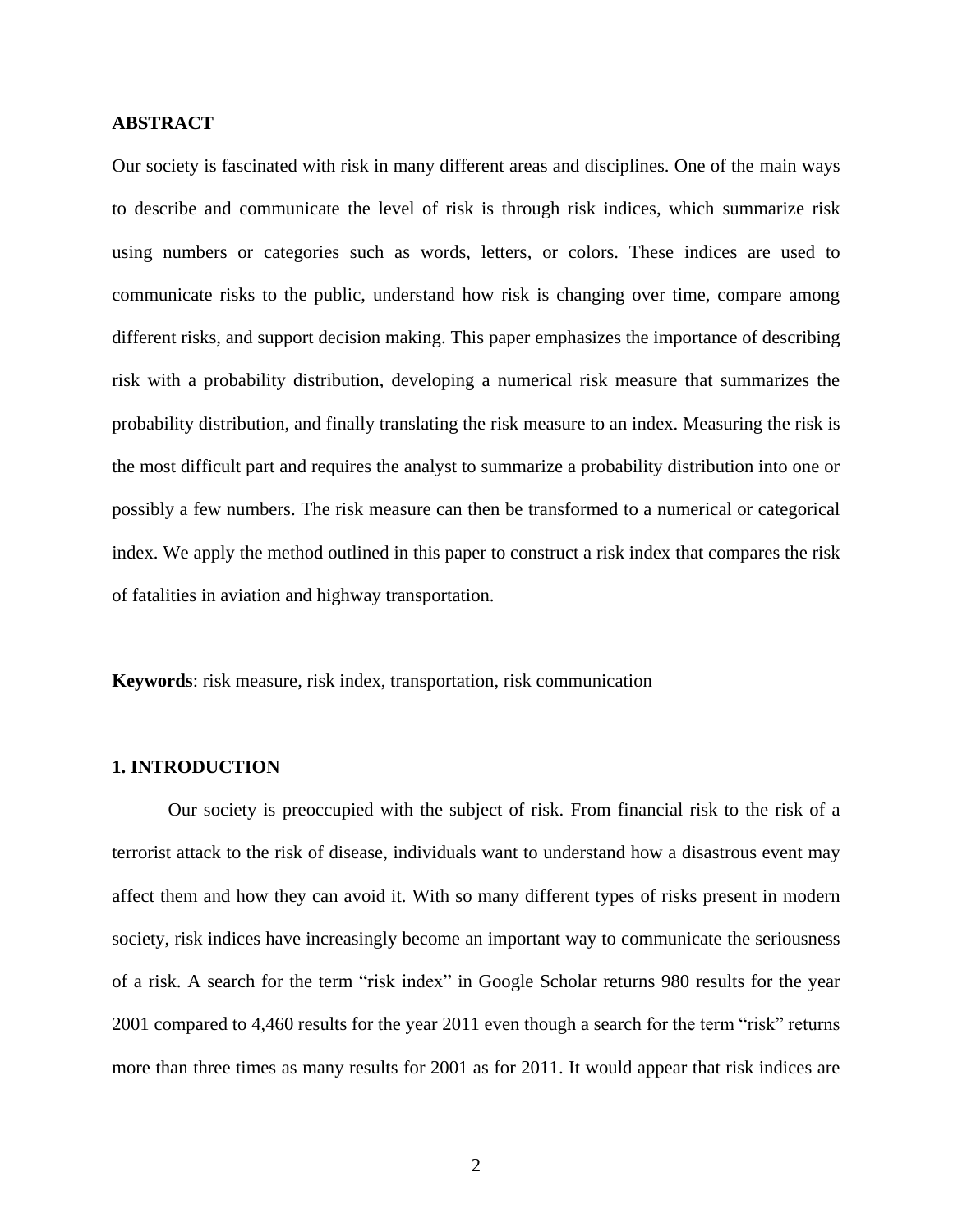# **ABSTRACT**

Our society is fascinated with risk in many different areas and disciplines. One of the main ways to describe and communicate the level of risk is through risk indices, which summarize risk using numbers or categories such as words, letters, or colors. These indices are used to communicate risks to the public, understand how risk is changing over time, compare among different risks, and support decision making. This paper emphasizes the importance of describing risk with a probability distribution, developing a numerical risk measure that summarizes the probability distribution, and finally translating the risk measure to an index. Measuring the risk is the most difficult part and requires the analyst to summarize a probability distribution into one or possibly a few numbers. The risk measure can then be transformed to a numerical or categorical index. We apply the method outlined in this paper to construct a risk index that compares the risk of fatalities in aviation and highway transportation.

**Keywords**: risk measure, risk index, transportation, risk communication

### **1. INTRODUCTION**

Our society is preoccupied with the subject of risk. From financial risk to the risk of a terrorist attack to the risk of disease, individuals want to understand how a disastrous event may affect them and how they can avoid it. With so many different types of risks present in modern society, risk indices have increasingly become an important way to communicate the seriousness of a risk. A search for the term "risk index" in Google Scholar returns 980 results for the year 2001 compared to 4,460 results for the year 2011 even though a search for the term "risk" returns more than three times as many results for 2001 as for 2011. It would appear that risk indices are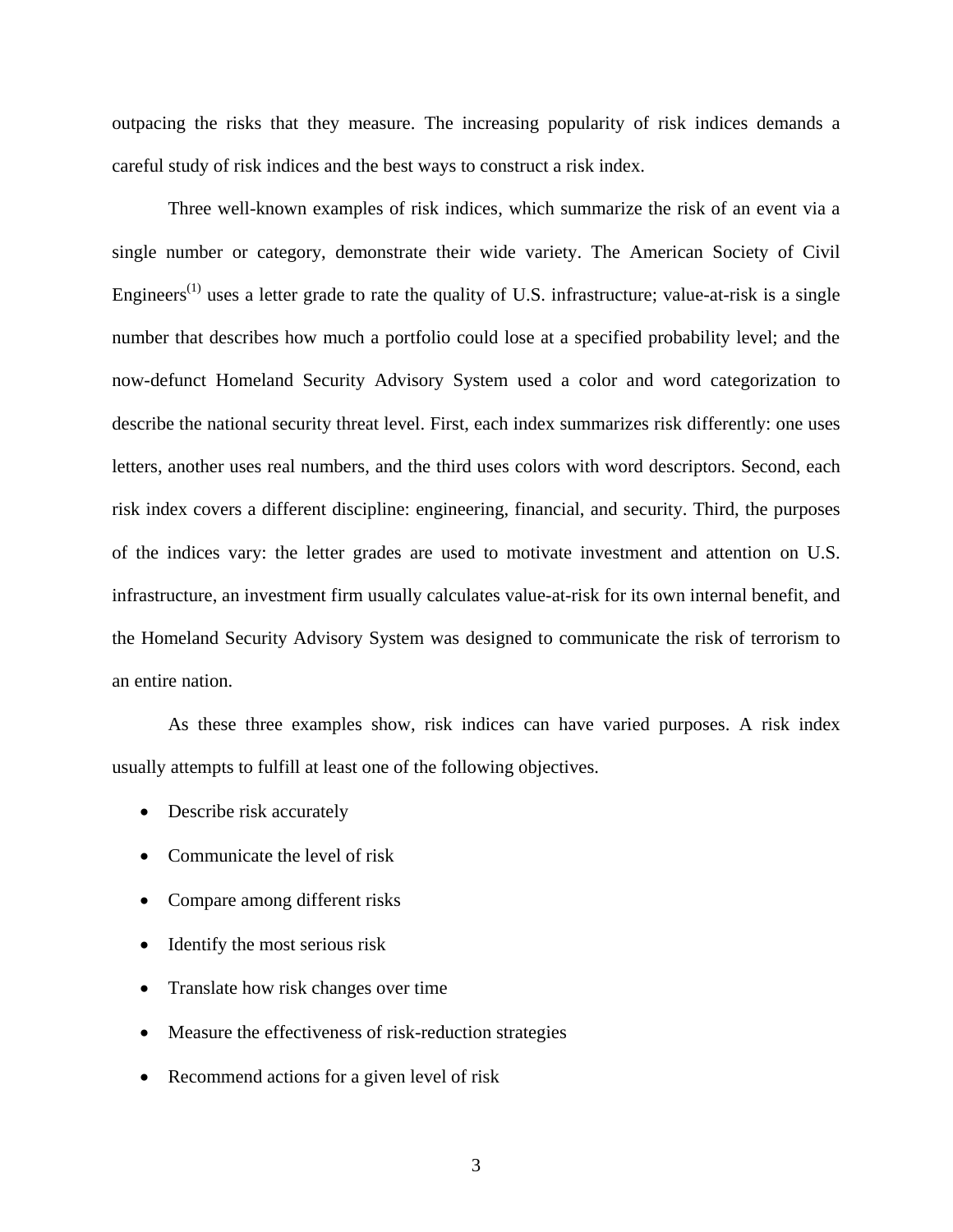outpacing the risks that they measure. The increasing popularity of risk indices demands a careful study of risk indices and the best ways to construct a risk index.

Three well-known examples of risk indices, which summarize the risk of an event via a single number or category, demonstrate their wide variety. The American Society of Civil Engineers<sup>(1)</sup> uses a letter grade to rate the quality of U.S. infrastructure; value-at-risk is a single number that describes how much a portfolio could lose at a specified probability level; and the now-defunct Homeland Security Advisory System used a color and word categorization to describe the national security threat level. First, each index summarizes risk differently: one uses letters, another uses real numbers, and the third uses colors with word descriptors. Second, each risk index covers a different discipline: engineering, financial, and security. Third, the purposes of the indices vary: the letter grades are used to motivate investment and attention on U.S. infrastructure, an investment firm usually calculates value-at-risk for its own internal benefit, and the Homeland Security Advisory System was designed to communicate the risk of terrorism to an entire nation.

As these three examples show, risk indices can have varied purposes. A risk index usually attempts to fulfill at least one of the following objectives.

- Describe risk accurately
- Communicate the level of risk
- Compare among different risks
- Identify the most serious risk
- Translate how risk changes over time
- Measure the effectiveness of risk-reduction strategies
- Recommend actions for a given level of risk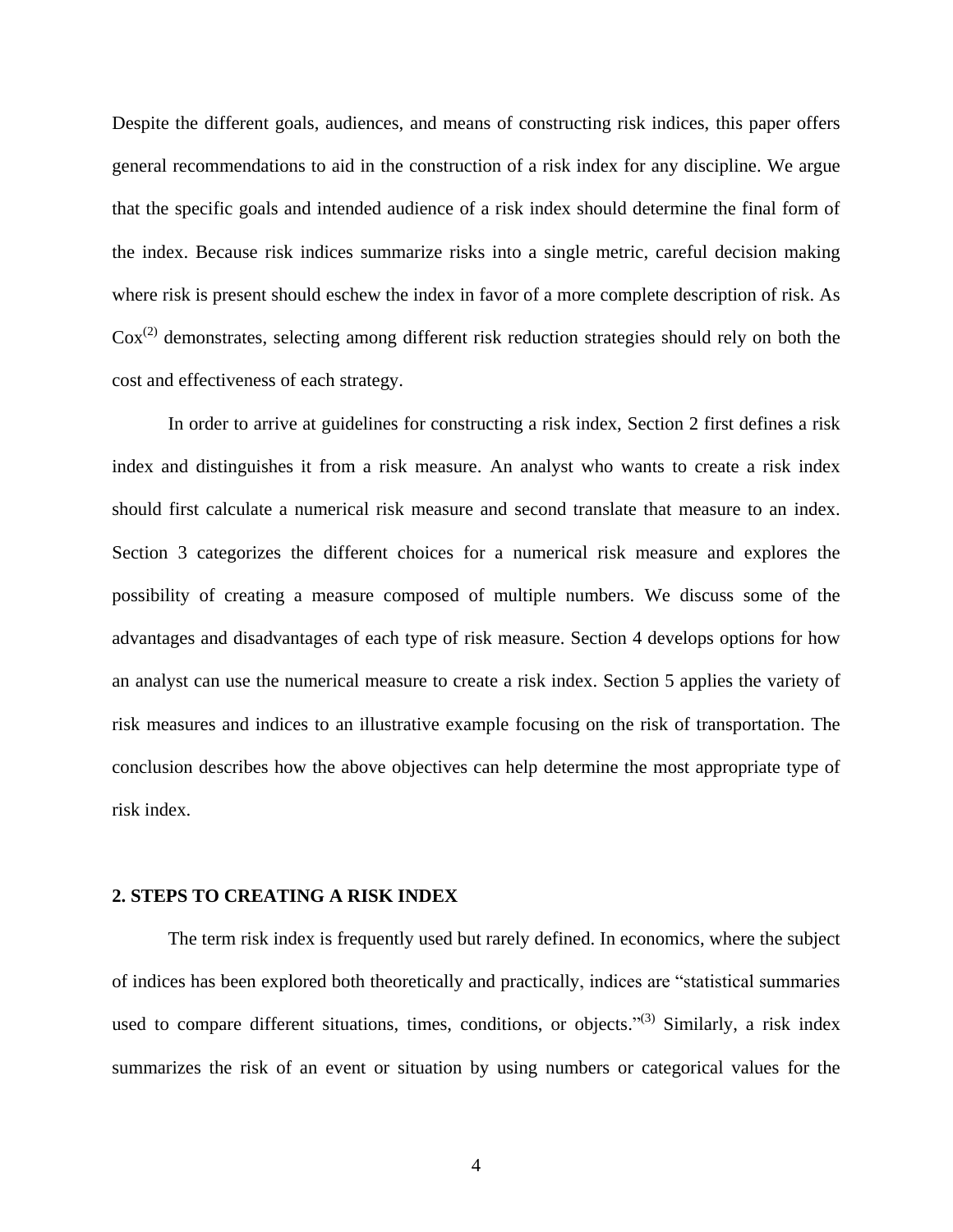Despite the different goals, audiences, and means of constructing risk indices, this paper offers general recommendations to aid in the construction of a risk index for any discipline. We argue that the specific goals and intended audience of a risk index should determine the final form of the index. Because risk indices summarize risks into a single metric, careful decision making where risk is present should eschew the index in favor of a more complete description of risk. As  $\text{Cox}^{(2)}$  demonstrates, selecting among different risk reduction strategies should rely on both the cost and effectiveness of each strategy.

<span id="page-3-0"></span>In order to arrive at guidelines for constructing a risk index, Section 2 first defines a risk index and distinguishes it from a risk measure. An analyst who wants to create a risk index should first calculate a numerical risk measure and second translate that measure to an index. Section 3 categorizes the different choices for a numerical risk measure and explores the possibility of creating a measure composed of multiple numbers. We discuss some of the advantages and disadvantages of each type of risk measure. Section 4 develops options for how an analyst can use the numerical measure to create a risk index. Section 5 applies the variety of risk measures and indices to an illustrative example focusing on the risk of transportation. The conclusion describes how the above objectives can help determine the most appropriate type of risk index.

### **2. STEPS TO CREATING A RISK INDEX**

The term risk index is frequently used but rarely defined. In economics, where the subject of indices has been explored both theoretically and practically, indices are "statistical summaries used to compare different situations, times, conditions, or objects."<sup>(3)</sup> Similarly, a risk index summarizes the risk of an event or situation by using numbers or categorical values for the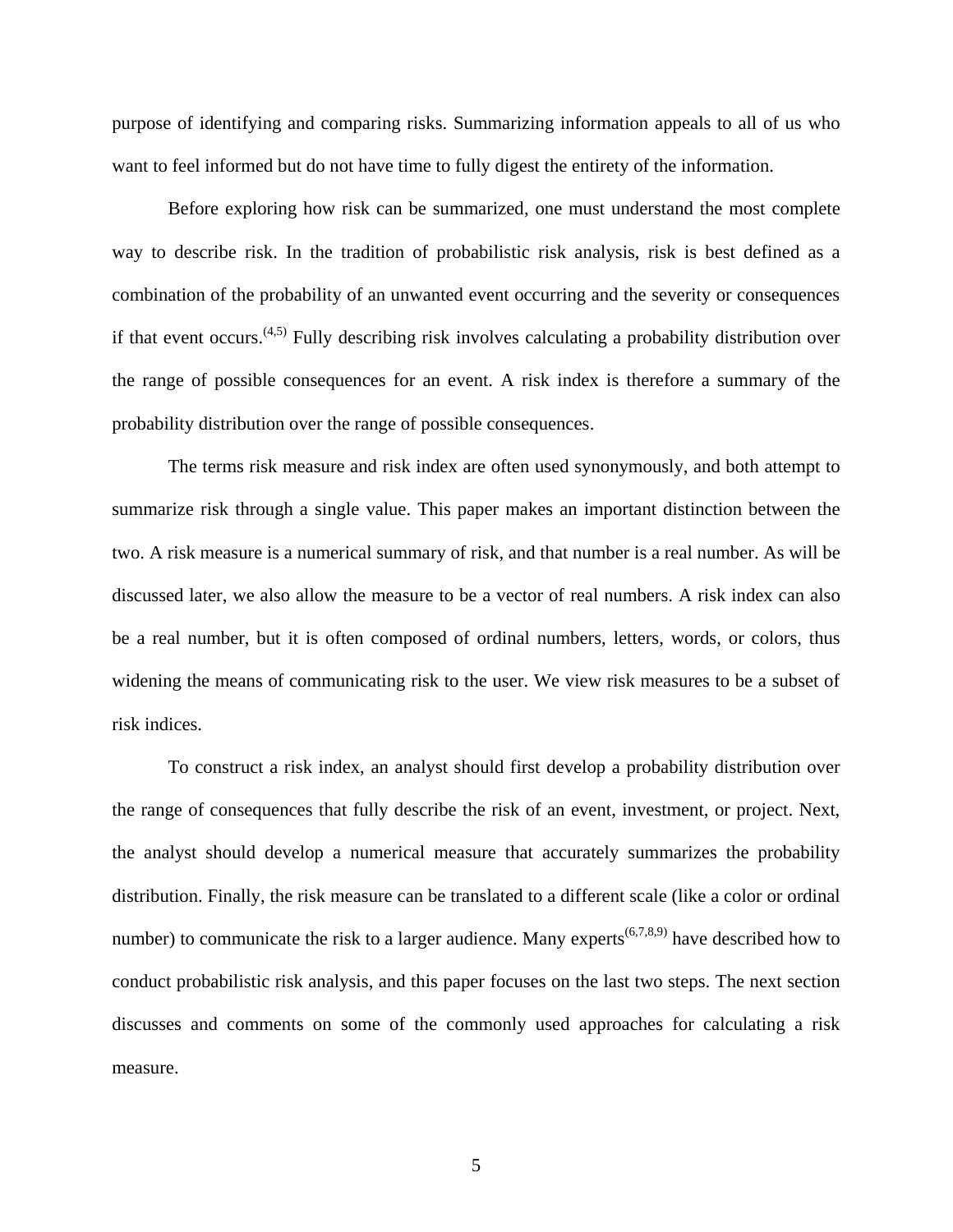purpose of identifying and comparing risks. Summarizing information appeals to all of us who want to feel informed but do not have time to fully digest the entirety of the information.

Before exploring how risk can be summarized, one must understand the most complete way to describe risk. In the tradition of probabilistic risk analysis, risk is best defined as a combination of the probability of an unwanted event occurring and the severity or consequences if that event occurs.<sup>(4,5)</sup> Fully describing risk involves calculating a probability distribution over the range of possible consequences for an event. A risk index is therefore a summary of the probability distribution over the range of possible consequences.

The terms risk measure and risk index are often used synonymously, and both attempt to summarize risk through a single value. This paper makes an important distinction between the two. A risk measure is a numerical summary of risk, and that number is a real number. As will be discussed later, we also allow the measure to be a vector of real numbers. A risk index can also be a real number, but it is often composed of ordinal numbers, letters, words, or colors, thus widening the means of communicating risk to the user. We view risk measures to be a subset of risk indices.

To construct a risk index, an analyst should first develop a probability distribution over the range of consequences that fully describe the risk of an event, investment, or project. Next, the analyst should develop a numerical measure that accurately summarizes the probability distribution. Finally, the risk measure can be translated to a different scale (like a color or ordinal number) to communicate the risk to a larger audience. Many experts  $(6,7,8,9)$  have described how to conduct probabilistic risk analysis, and this paper focuses on the last two steps. The next section discusses and comments on some of the commonly used approaches for calculating a risk measure.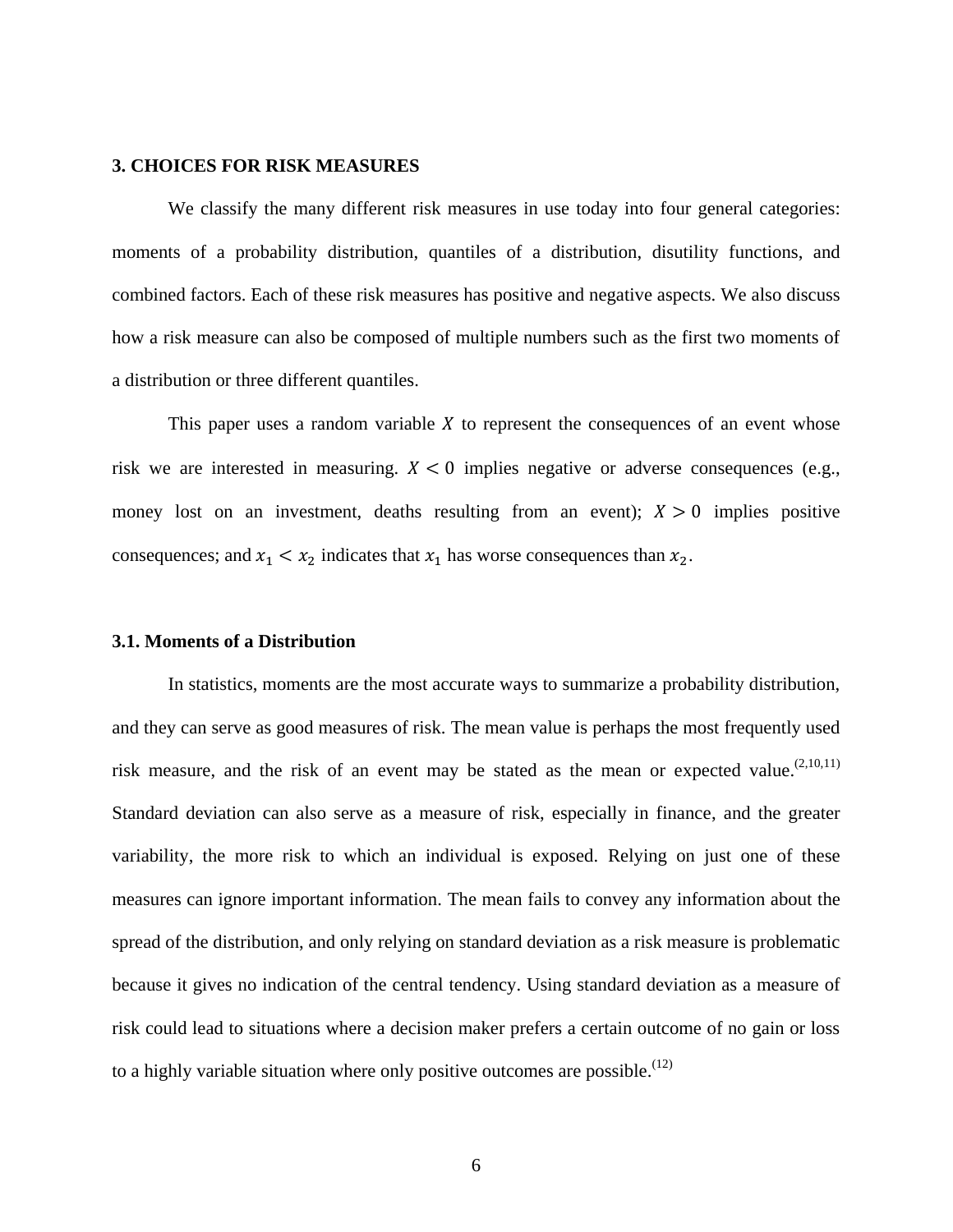### **3. CHOICES FOR RISK MEASURES**

We classify the many different risk measures in use today into four general categories: moments of a probability distribution, quantiles of a distribution, disutility functions, and combined factors. Each of these risk measures has positive and negative aspects. We also discuss how a risk measure can also be composed of multiple numbers such as the first two moments of a distribution or three different quantiles.

This paper uses a random variable  $X$  to represent the consequences of an event whose risk we are interested in measuring.  $X < 0$  implies negative or adverse consequences (e.g., money lost on an investment, deaths resulting from an event);  $X > 0$  implies positive consequences; and  $x_1 < x_2$  indicates that  $x_1$  has worse consequences than  $x_2$ .

# **3.1. Moments of a Distribution**

In statistics, moments are the most accurate ways to summarize a probability distribution, and they can serve as good measures of risk. The mean value is perhaps the most frequently used risk measure, and the risk of an event may be stated as the mean or expected value.  $(2,10,11)$ Standard deviation can also serve as a measure of risk, especially in finance, and the greater variability, the more risk to which an individual is exposed. Relying on just one of these measures can ignore important information. The mean fails to convey any information about the spread of the distribution, and only relying on standard deviation as a risk measure is problematic because it gives no indication of the central tendency. Using standard deviation as a measure of risk could lead to situations where a decision maker prefers a certain outcome of no gain or loss to a highly variable situation where only positive outcomes are possible.  $(12)$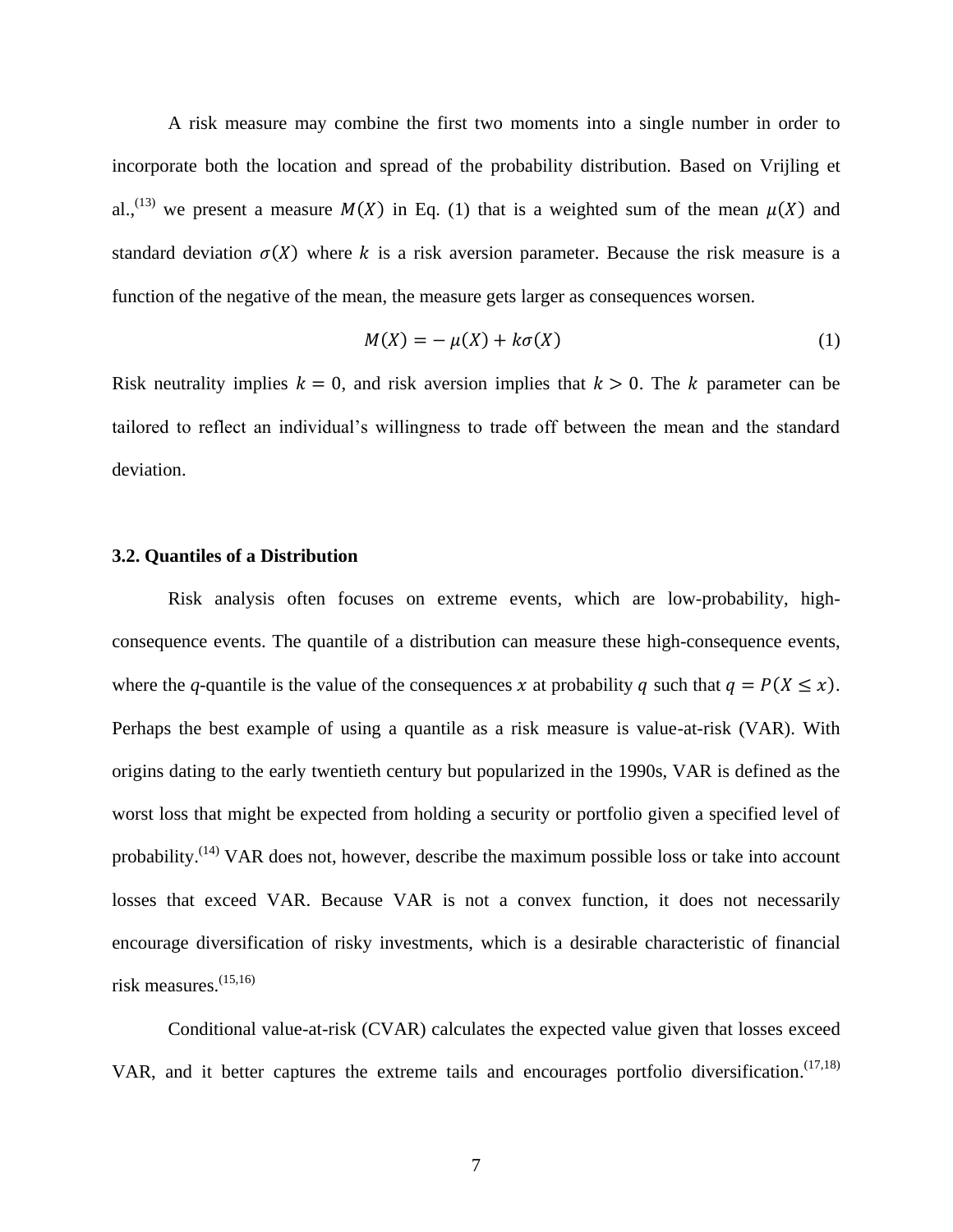A risk measure may combine the first two moments into a single number in order to incorporate both the location and spread of the probability distribution. Based on Vrijling et al.,<sup>(13)</sup> we present a measure  $M(X)$  in Eq. (1) that is a weighted sum of the mean  $\mu(X)$  and standard deviation  $\sigma(X)$  where k is a risk aversion parameter. Because the risk measure is a function of the negative of the mean, the measure gets larger as consequences worsen.

$$
M(X) = -\mu(X) + k\sigma(X) \tag{1}
$$

Risk neutrality implies  $k = 0$ , and risk aversion implies that  $k > 0$ . The k parameter can be tailored to reflect an individual's willingness to trade off between the mean and the standard deviation.

# **3.2. Quantiles of a Distribution**

Risk analysis often focuses on extreme events, which are low-probability, highconsequence events. The quantile of a distribution can measure these high-consequence events, where the *q*-quantile is the value of the consequences x at probability q such that  $q = P(X \le x)$ . Perhaps the best example of using a quantile as a risk measure is value-at-risk (VAR). With origins dating to the early twentieth century but popularized in the 1990s, VAR is defined as the worst loss that might be expected from holding a security or portfolio given a specified level of probability.<sup>(14)</sup> VAR does not, however, describe the maximum possible loss or take into account losses that exceed VAR. Because VAR is not a convex function, it does not necessarily encourage diversification of risky investments, which is a desirable characteristic of financial risk measures. (15,16)

Conditional value-at-risk (CVAR) calculates the expected value given that losses exceed VAR, and it better captures the extreme tails and encourages portfolio diversification. (17,18)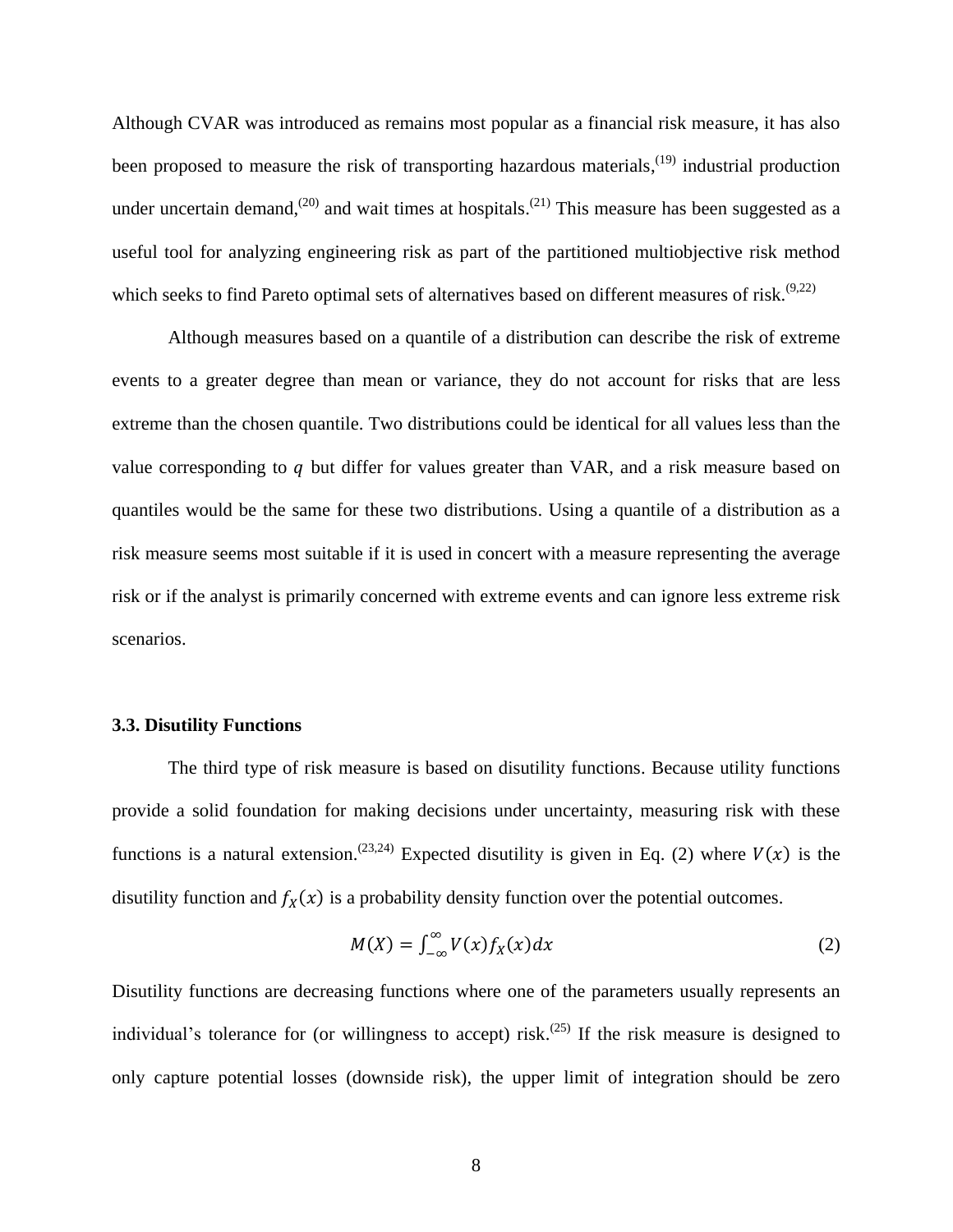Although CVAR was introduced as remains most popular as a financial risk measure, it has also been proposed to measure the risk of transporting hazardous materials,  $(19)$  industrial production under uncertain demand,  $(20)$  and wait times at hospitals.  $(21)$  This measure has been suggested as a useful tool for analyzing engineering risk as part of the partitioned multiobjective risk method which seeks to find Pareto optimal sets of alternatives based on different measures of risk.<sup> $(9,22)$ </sup>

Although measures based on a quantile of a distribution can describe the risk of extreme events to a greater degree than mean or variance, they do not account for risks that are less extreme than the chosen quantile. Two distributions could be identical for all values less than the value corresponding to  $q$  but differ for values greater than VAR, and a risk measure based on quantiles would be the same for these two distributions. Using a quantile of a distribution as a risk measure seems most suitable if it is used in concert with a measure representing the average risk or if the analyst is primarily concerned with extreme events and can ignore less extreme risk scenarios.

### **3.3. Disutility Functions**

The third type of risk measure is based on disutility functions. Because utility functions provide a solid foundation for making decisions under uncertainty, measuring risk with these functions is a natural extension. <sup>(23,24)</sup> Expected disutility is given in Eq. (2) where  $V(x)$  is the disutility function and  $f_X(x)$  is a probability density function over the potential outcomes.

$$
M(X) = \int_{-\infty}^{\infty} V(x) f_X(x) dx \tag{2}
$$

Disutility functions are decreasing functions where one of the parameters usually represents an individual's tolerance for (or willingness to accept) risk.<sup> $(25)$ </sup> If the risk measure is designed to only capture potential losses (downside risk), the upper limit of integration should be zero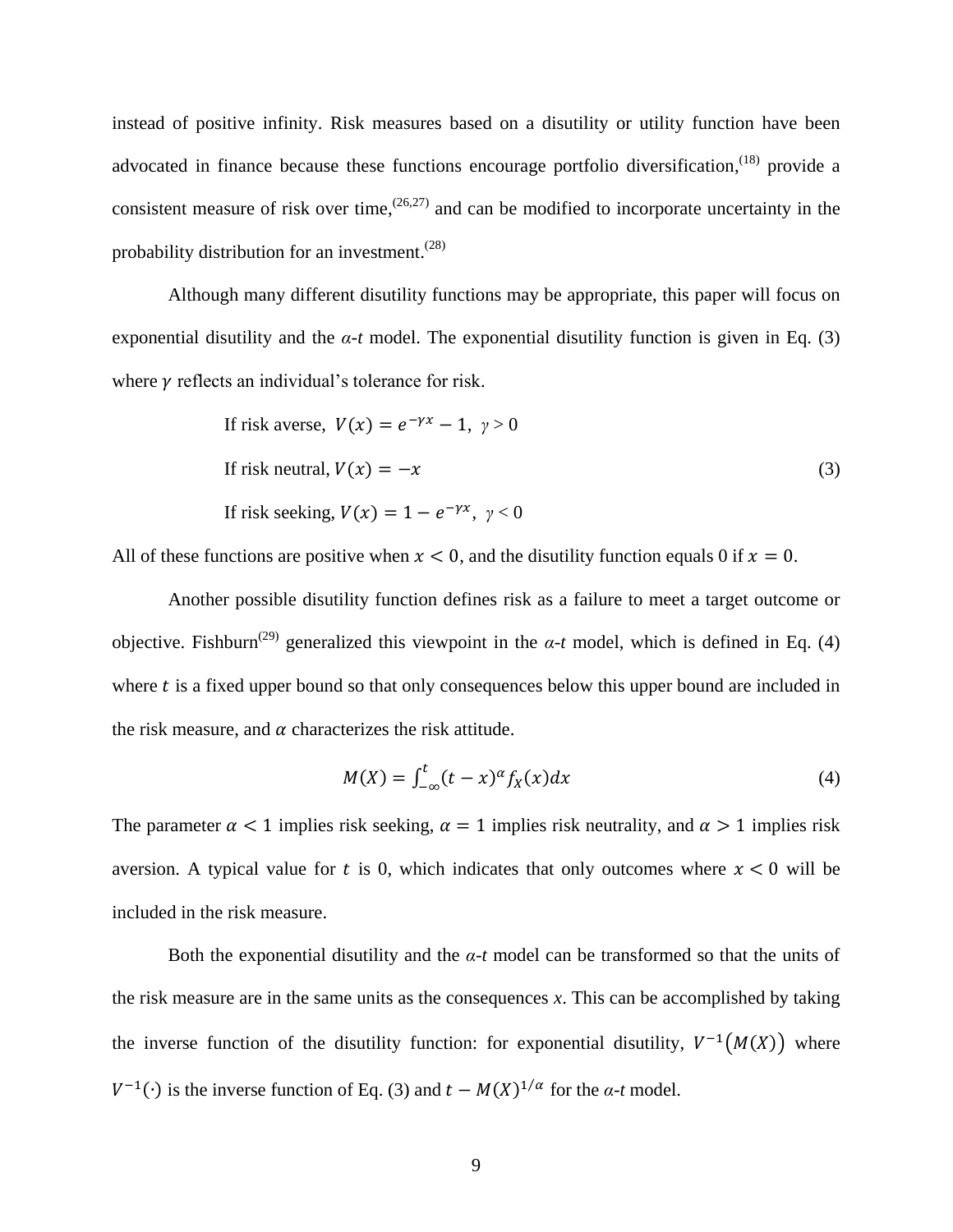instead of positive infinity. Risk measures based on a disutility or utility function have been advocated in finance because these functions encourage portfolio diversification, <sup>(18)</sup> provide a consistent measure of risk over time,  $(26,27)$  and can be modified to incorporate uncertainty in the probability distribution for an investment.<sup>(28)</sup>

Although many different disutility functions may be appropriate, this paper will focus on exponential disutility and the *α*-*t* model. The exponential disutility function is given in Eq. (3) where  $\gamma$  reflects an individual's tolerance for risk.

If risk averse, 
$$
V(x) = e^{-\gamma x} - 1
$$
,  $\gamma > 0$   
If risk neutral,  $V(x) = -x$   
If risk seeking,  $V(x) = 1 - e^{-\gamma x}$ ,  $\gamma < 0$  (3)

All of these functions are positive when  $x < 0$ , and the disutility function equals 0 if  $x = 0$ .

Another possible disutility function defines risk as a failure to meet a target outcome or objective. Fishburn<sup>(29)</sup> generalized this viewpoint in the  $\alpha$ -*t* model, which is defined in Eq. (4) where  $t$  is a fixed upper bound so that only consequences below this upper bound are included in the risk measure, and  $\alpha$  characterizes the risk attitude.

$$
M(X) = \int_{-\infty}^{t} (t - x)^{\alpha} f_X(x) dx \tag{4}
$$

The parameter  $\alpha < 1$  implies risk seeking,  $\alpha = 1$  implies risk neutrality, and  $\alpha > 1$  implies risk aversion. A typical value for t is 0, which indicates that only outcomes where  $x < 0$  will be included in the risk measure.

Both the exponential disutility and the  $\alpha$ -*t* model can be transformed so that the units of the risk measure are in the same units as the consequences *x*. This can be accomplished by taking the inverse function of the disutility function: for exponential disutility,  $V^{-1}(M(X))$  where  $V^{-1}(\cdot)$  is the inverse function of Eq. (3) and  $t - M(X)^{1/\alpha}$  for the *α*-*t* model.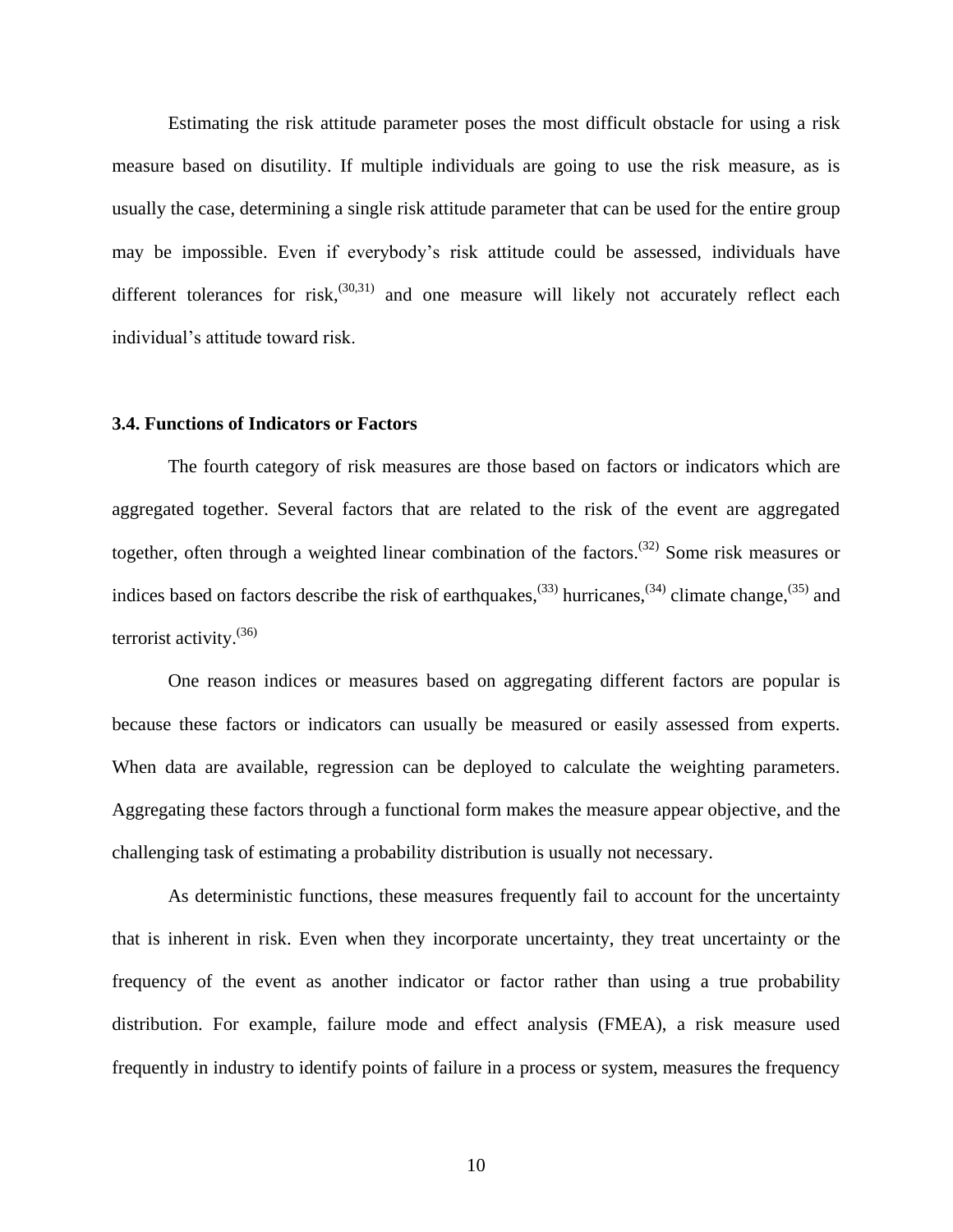Estimating the risk attitude parameter poses the most difficult obstacle for using a risk measure based on disutility. If multiple individuals are going to use the risk measure, as is usually the case, determining a single risk attitude parameter that can be used for the entire group may be impossible. Even if everybody's risk attitude could be assessed, individuals have different tolerances for risk,  $(30,31)$  and one measure will likely not accurately reflect each individual's attitude toward risk.

#### **3.4. Functions of Indicators or Factors**

The fourth category of risk measures are those based on factors or indicators which are aggregated together. Several factors that are related to the risk of the event are aggregated together, often through a weighted linear combination of the factors.<sup>(32)</sup> Some risk measures or indices based on factors describe the risk of earthquakes,  $(33)$  hurricanes,  $(34)$  climate change,  $(35)$  and terrorist activity. (36)

One reason indices or measures based on aggregating different factors are popular is because these factors or indicators can usually be measured or easily assessed from experts. When data are available, regression can be deployed to calculate the weighting parameters. Aggregating these factors through a functional form makes the measure appear objective, and the challenging task of estimating a probability distribution is usually not necessary.

As deterministic functions, these measures frequently fail to account for the uncertainty that is inherent in risk. Even when they incorporate uncertainty, they treat uncertainty or the frequency of the event as another indicator or factor rather than using a true probability distribution. For example, failure mode and effect analysis (FMEA), a risk measure used frequently in industry to identify points of failure in a process or system, measures the frequency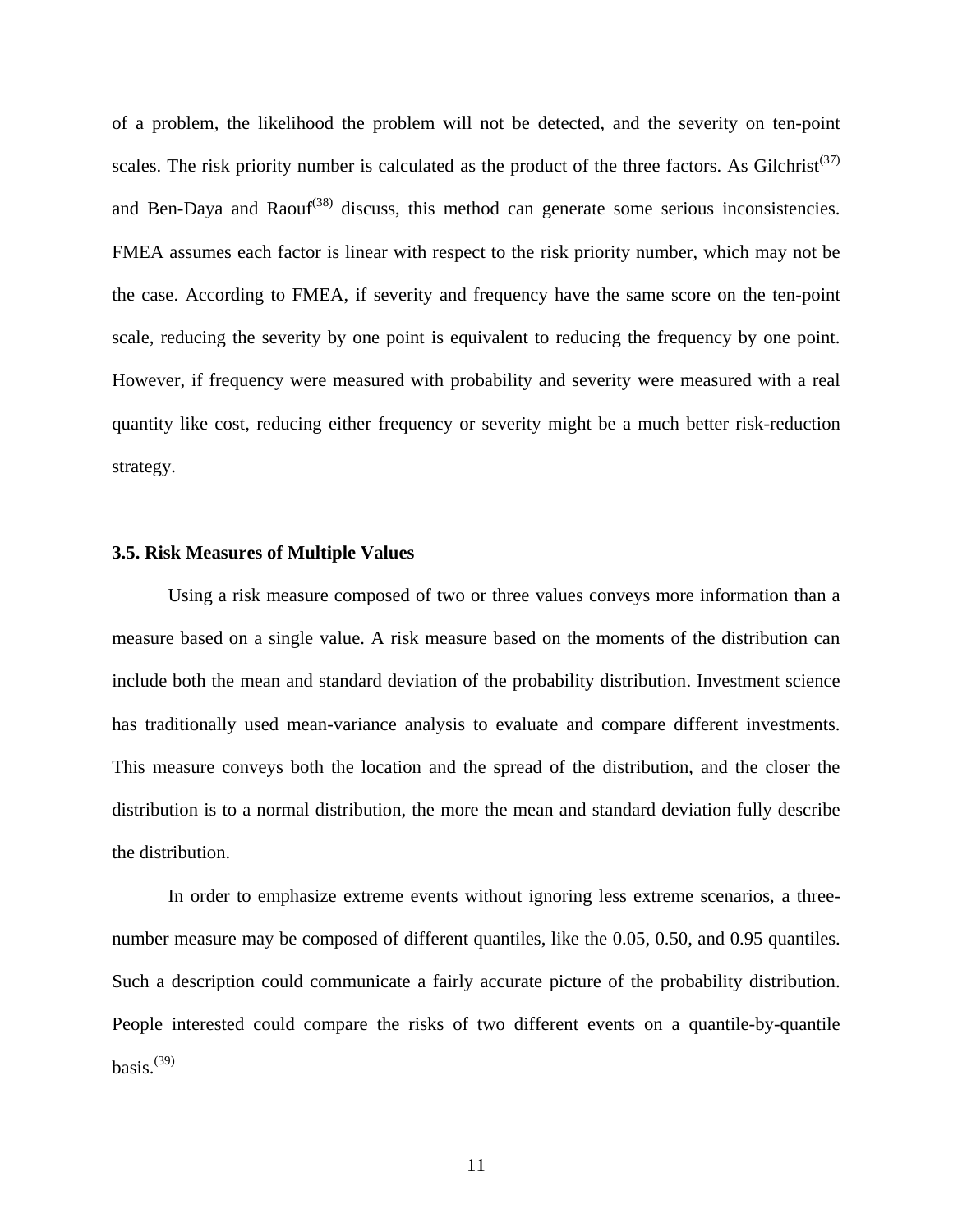of a problem, the likelihood the problem will not be detected, and the severity on ten-point scales. The risk priority number is calculated as the product of the three factors. As Gilchrist<sup> $(37)$ </sup> and Ben-Daya and Raouf<sup>(38)</sup> discuss, this method can generate some serious inconsistencies. FMEA assumes each factor is linear with respect to the risk priority number, which may not be the case. According to FMEA, if severity and frequency have the same score on the ten-point scale, reducing the severity by one point is equivalent to reducing the frequency by one point. However, if frequency were measured with probability and severity were measured with a real quantity like cost, reducing either frequency or severity might be a much better risk-reduction strategy.

#### **3.5. Risk Measures of Multiple Values**

Using a risk measure composed of two or three values conveys more information than a measure based on a single value. A risk measure based on the moments of the distribution can include both the mean and standard deviation of the probability distribution. Investment science has traditionally used mean-variance analysis to evaluate and compare different investments. This measure conveys both the location and the spread of the distribution, and the closer the distribution is to a normal distribution, the more the mean and standard deviation fully describe the distribution.

In order to emphasize extreme events without ignoring less extreme scenarios, a threenumber measure may be composed of different quantiles, like the 0.05, 0.50, and 0.95 quantiles. Such a description could communicate a fairly accurate picture of the probability distribution. People interested could compare the risks of two different events on a quantile-by-quantile basis. (39)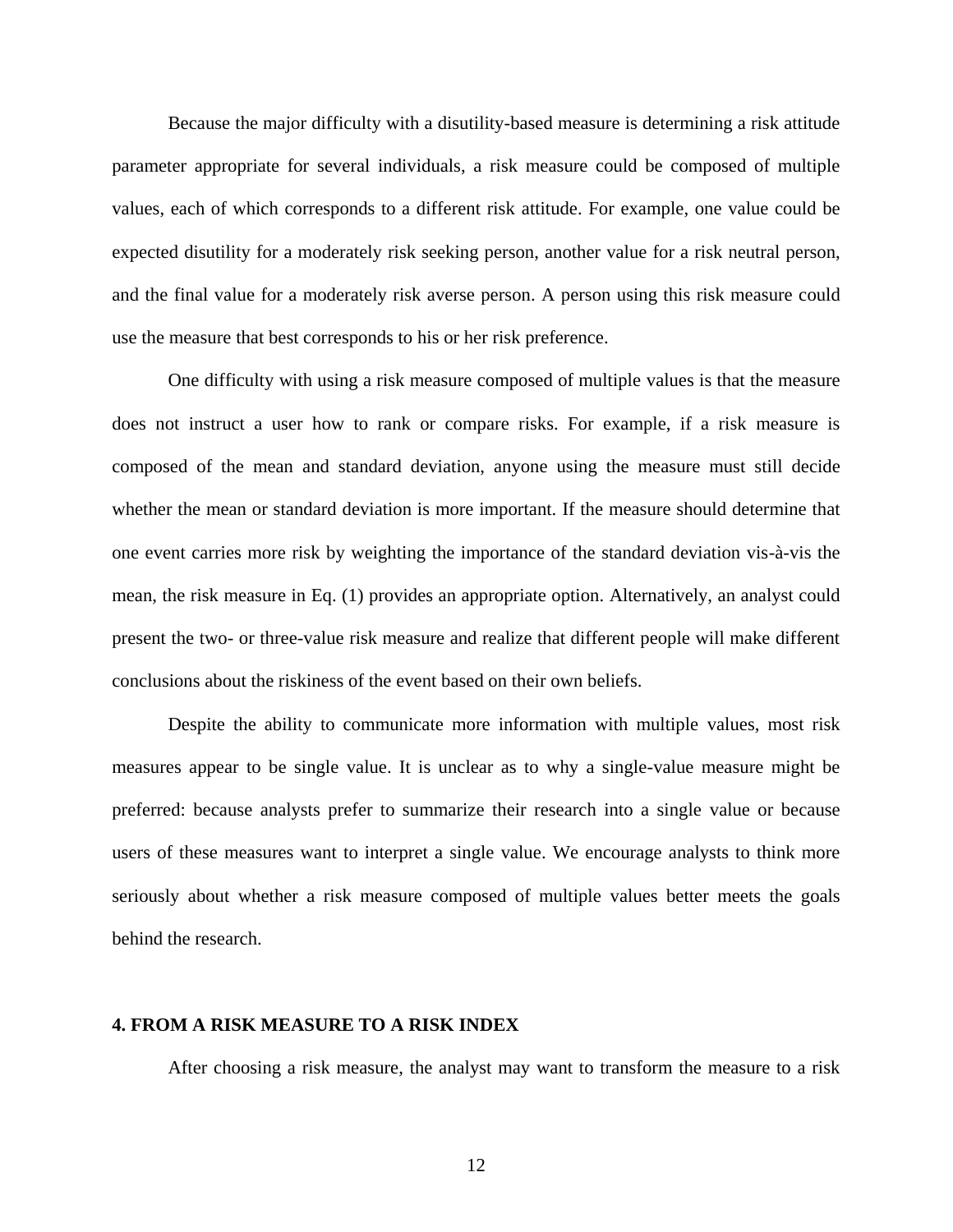Because the major difficulty with a disutility-based measure is determining a risk attitude parameter appropriate for several individuals, a risk measure could be composed of multiple values, each of which corresponds to a different risk attitude. For example, one value could be expected disutility for a moderately risk seeking person, another value for a risk neutral person, and the final value for a moderately risk averse person. A person using this risk measure could use the measure that best corresponds to his or her risk preference.

One difficulty with using a risk measure composed of multiple values is that the measure does not instruct a user how to rank or compare risks. For example, if a risk measure is composed of the mean and standard deviation, anyone using the measure must still decide whether the mean or standard deviation is more important. If the measure should determine that one event carries more risk by weighting the importance of the standard deviation vis-à-vis the mean, the risk measure in Eq. (1) provides an appropriate option. Alternatively, an analyst could present the two- or three-value risk measure and realize that different people will make different conclusions about the riskiness of the event based on their own beliefs.

Despite the ability to communicate more information with multiple values, most risk measures appear to be single value. It is unclear as to why a single-value measure might be preferred: because analysts prefer to summarize their research into a single value or because users of these measures want to interpret a single value. We encourage analysts to think more seriously about whether a risk measure composed of multiple values better meets the goals behind the research.

#### **4. FROM A RISK MEASURE TO A RISK INDEX**

After choosing a risk measure, the analyst may want to transform the measure to a risk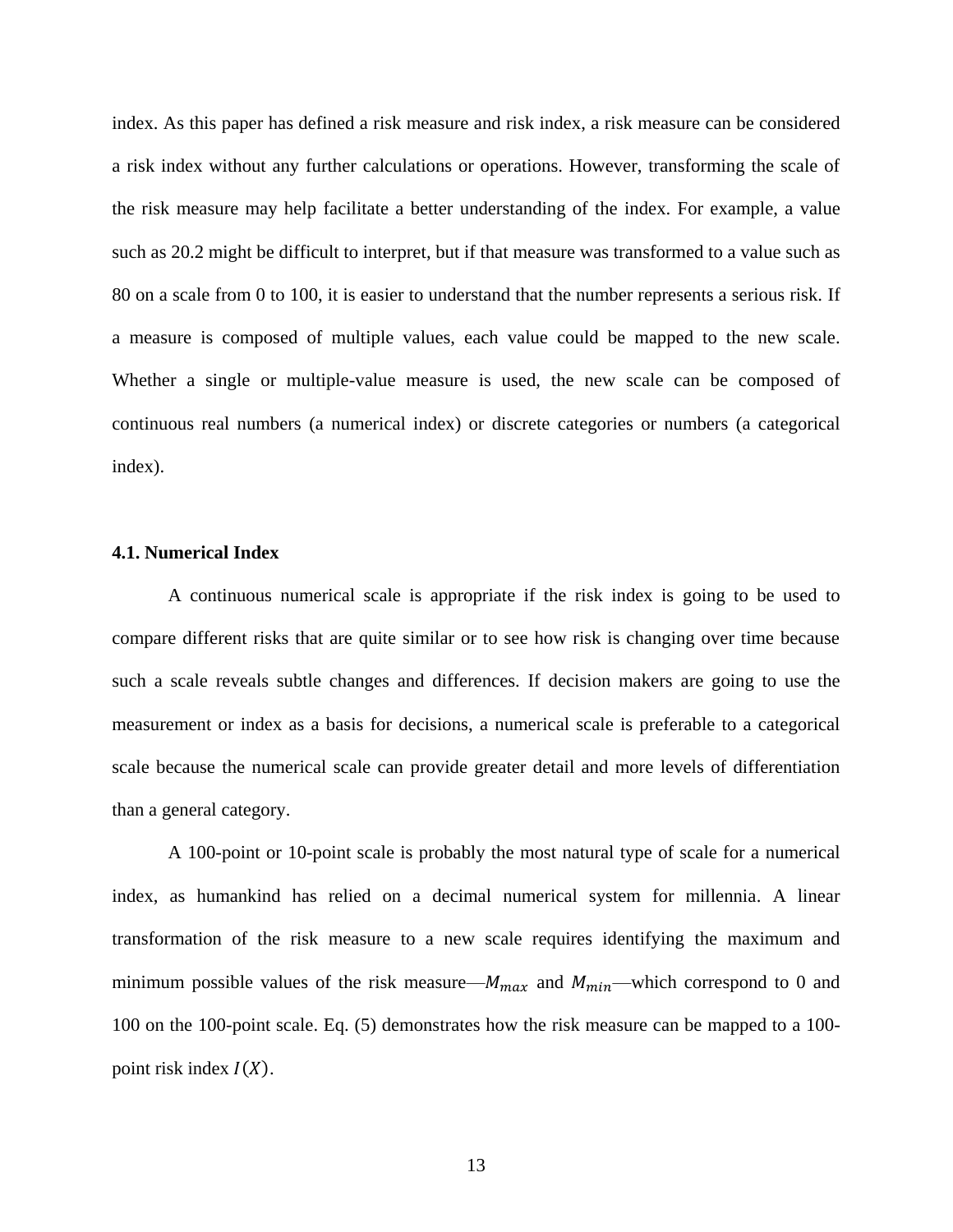index. As this paper has defined a risk measure and risk index, a risk measure can be considered a risk index without any further calculations or operations. However, transforming the scale of the risk measure may help facilitate a better understanding of the index. For example, a value such as 20.2 might be difficult to interpret, but if that measure was transformed to a value such as 80 on a scale from 0 to 100, it is easier to understand that the number represents a serious risk. If a measure is composed of multiple values, each value could be mapped to the new scale. Whether a single or multiple-value measure is used, the new scale can be composed of continuous real numbers (a numerical index) or discrete categories or numbers (a categorical index).

### **4.1. Numerical Index**

A continuous numerical scale is appropriate if the risk index is going to be used to compare different risks that are quite similar or to see how risk is changing over time because such a scale reveals subtle changes and differences. If decision makers are going to use the measurement or index as a basis for decisions, a numerical scale is preferable to a categorical scale because the numerical scale can provide greater detail and more levels of differentiation than a general category.

A 100-point or 10-point scale is probably the most natural type of scale for a numerical index, as humankind has relied on a decimal numerical system for millennia. A linear transformation of the risk measure to a new scale requires identifying the maximum and minimum possible values of the risk measure— $M_{max}$  and  $M_{min}$ —which correspond to 0 and 100 on the 100-point scale. Eq. (5) demonstrates how the risk measure can be mapped to a 100 point risk index  $I(X)$ .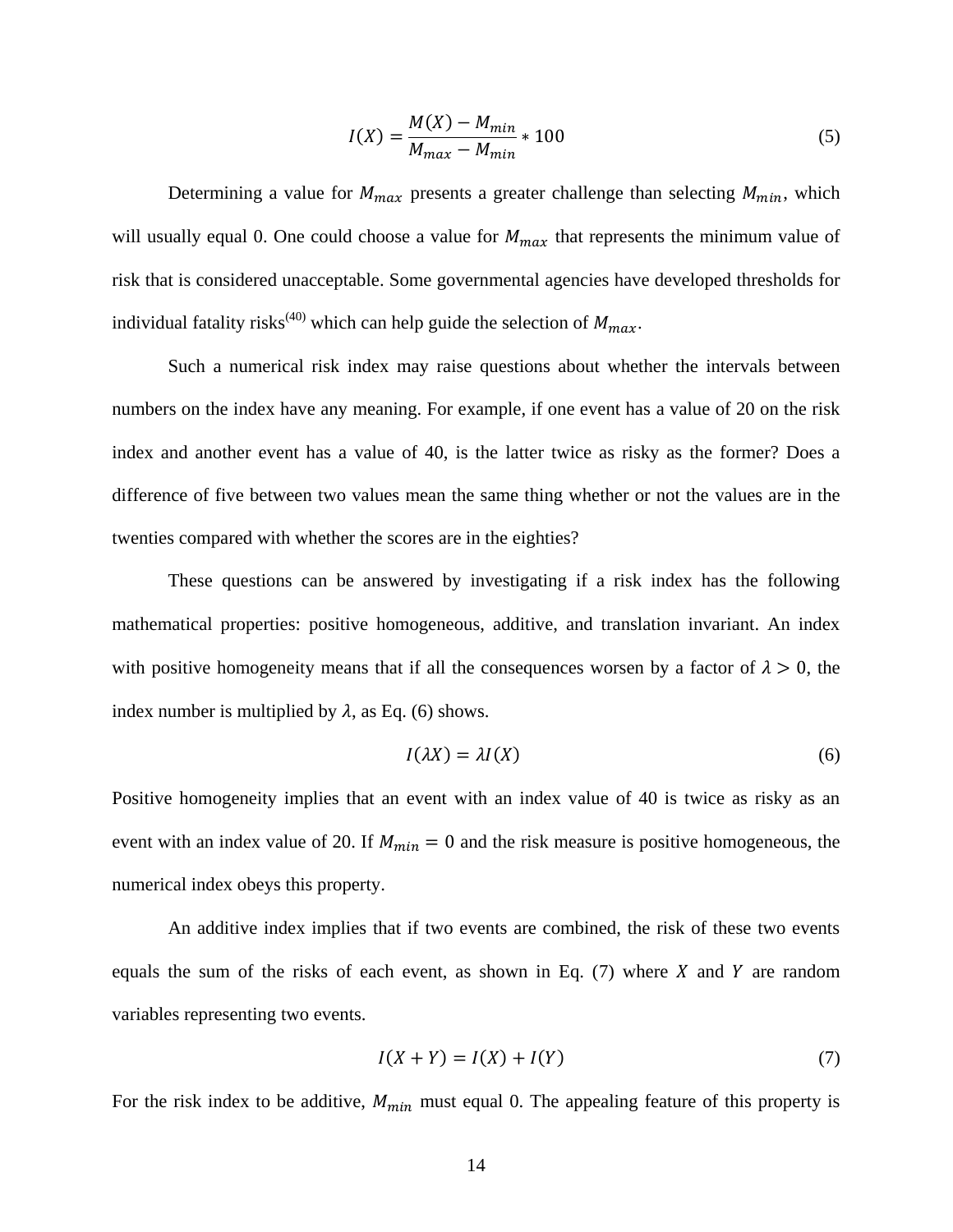$$
I(X) = \frac{M(X) - M_{min}}{M_{max} - M_{min}} * 100
$$
\n(5)

Determining a value for  $M_{max}$  presents a greater challenge than selecting  $M_{min}$ , which will usually equal 0. One could choose a value for  $M_{max}$  that represents the minimum value of risk that is considered unacceptable. Some governmental agencies have developed thresholds for individual fatality risks<sup>(40)</sup> which can help guide the selection of  $M_{max}$ .

Such a numerical risk index may raise questions about whether the intervals between numbers on the index have any meaning. For example, if one event has a value of 20 on the risk index and another event has a value of 40, is the latter twice as risky as the former? Does a difference of five between two values mean the same thing whether or not the values are in the twenties compared with whether the scores are in the eighties?

These questions can be answered by investigating if a risk index has the following mathematical properties: positive homogeneous, additive, and translation invariant. An index with positive homogeneity means that if all the consequences worsen by a factor of  $\lambda > 0$ , the index number is multiplied by  $\lambda$ , as Eq. (6) shows.

$$
I(\lambda X) = \lambda I(X) \tag{6}
$$

Positive homogeneity implies that an event with an index value of 40 is twice as risky as an event with an index value of 20. If  $M_{min} = 0$  and the risk measure is positive homogeneous, the numerical index obeys this property.

An additive index implies that if two events are combined, the risk of these two events equals the sum of the risks of each event, as shown in Eq.  $(7)$  where X and Y are random variables representing two events.

$$
I(X+Y) = I(X) + I(Y)
$$
\n<sup>(7)</sup>

For the risk index to be additive,  $M_{min}$  must equal 0. The appealing feature of this property is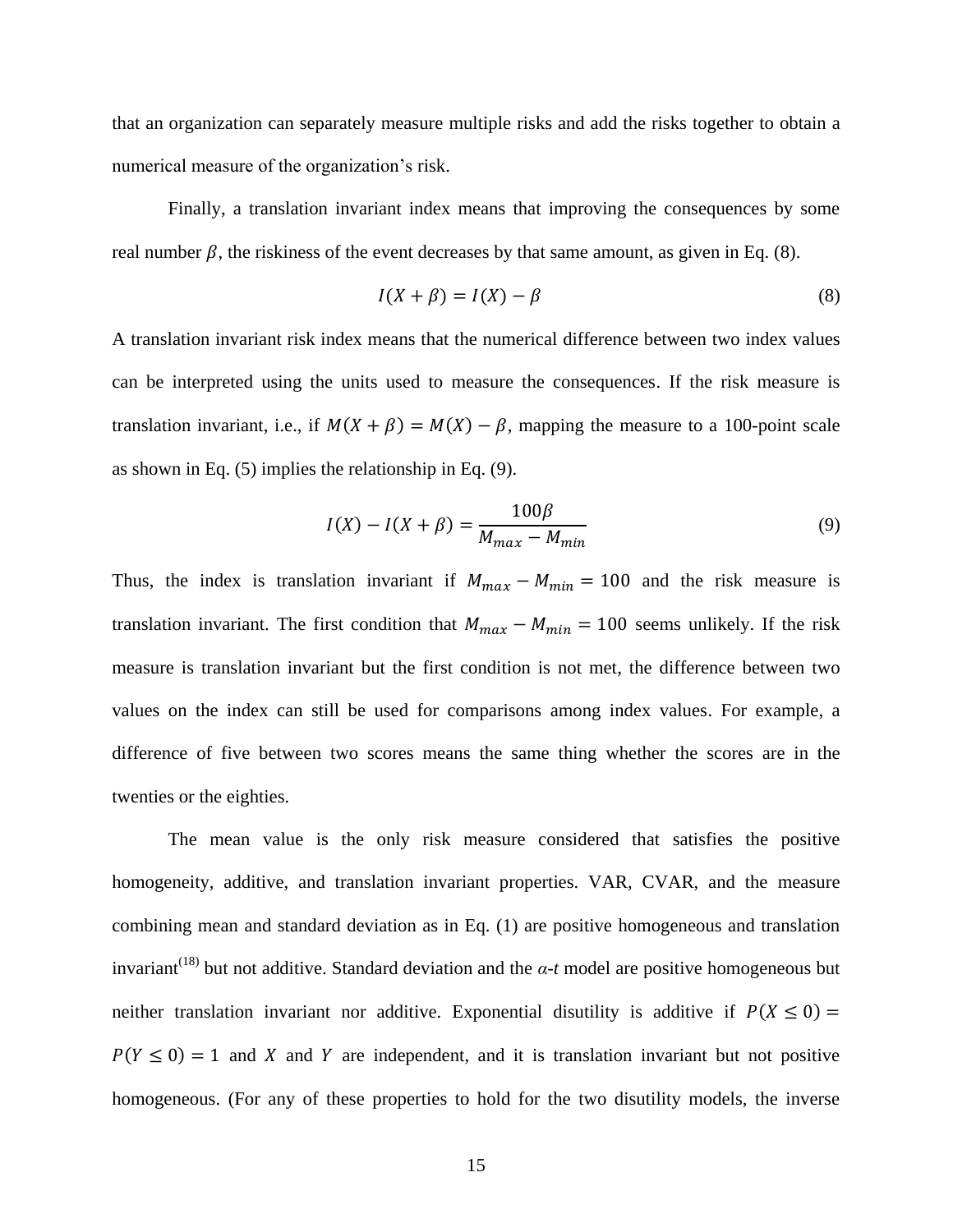that an organization can separately measure multiple risks and add the risks together to obtain a numerical measure of the organization's risk.

Finally, a translation invariant index means that improving the consequences by some real number  $\beta$ , the riskiness of the event decreases by that same amount, as given in Eq. (8).

$$
I(X + \beta) = I(X) - \beta \tag{8}
$$

A translation invariant risk index means that the numerical difference between two index values can be interpreted using the units used to measure the consequences. If the risk measure is translation invariant, i.e., if  $M(X + \beta) = M(X) - \beta$ , mapping the measure to a 100-point scale as shown in Eq. (5) implies the relationship in Eq. (9).

$$
I(X) - I(X + \beta) = \frac{100\beta}{M_{max} - M_{min}}\tag{9}
$$

Thus, the index is translation invariant if  $M_{max} - M_{min} = 100$  and the risk measure is translation invariant. The first condition that  $M_{max} - M_{min} = 100$  seems unlikely. If the risk measure is translation invariant but the first condition is not met, the difference between two values on the index can still be used for comparisons among index values. For example, a difference of five between two scores means the same thing whether the scores are in the twenties or the eighties.

The mean value is the only risk measure considered that satisfies the positive homogeneity, additive, and translation invariant properties. VAR, CVAR, and the measure combining mean and standard deviation as in Eq. (1) are positive homogeneous and translation invariant<sup>(18)</sup> but not additive. Standard deviation and the  $\alpha$ -*t* model are positive homogeneous but neither translation invariant nor additive. Exponential disutility is additive if  $P(X \le 0)$  =  $P(Y \le 0) = 1$  and X and Y are independent, and it is translation invariant but not positive homogeneous. (For any of these properties to hold for the two disutility models, the inverse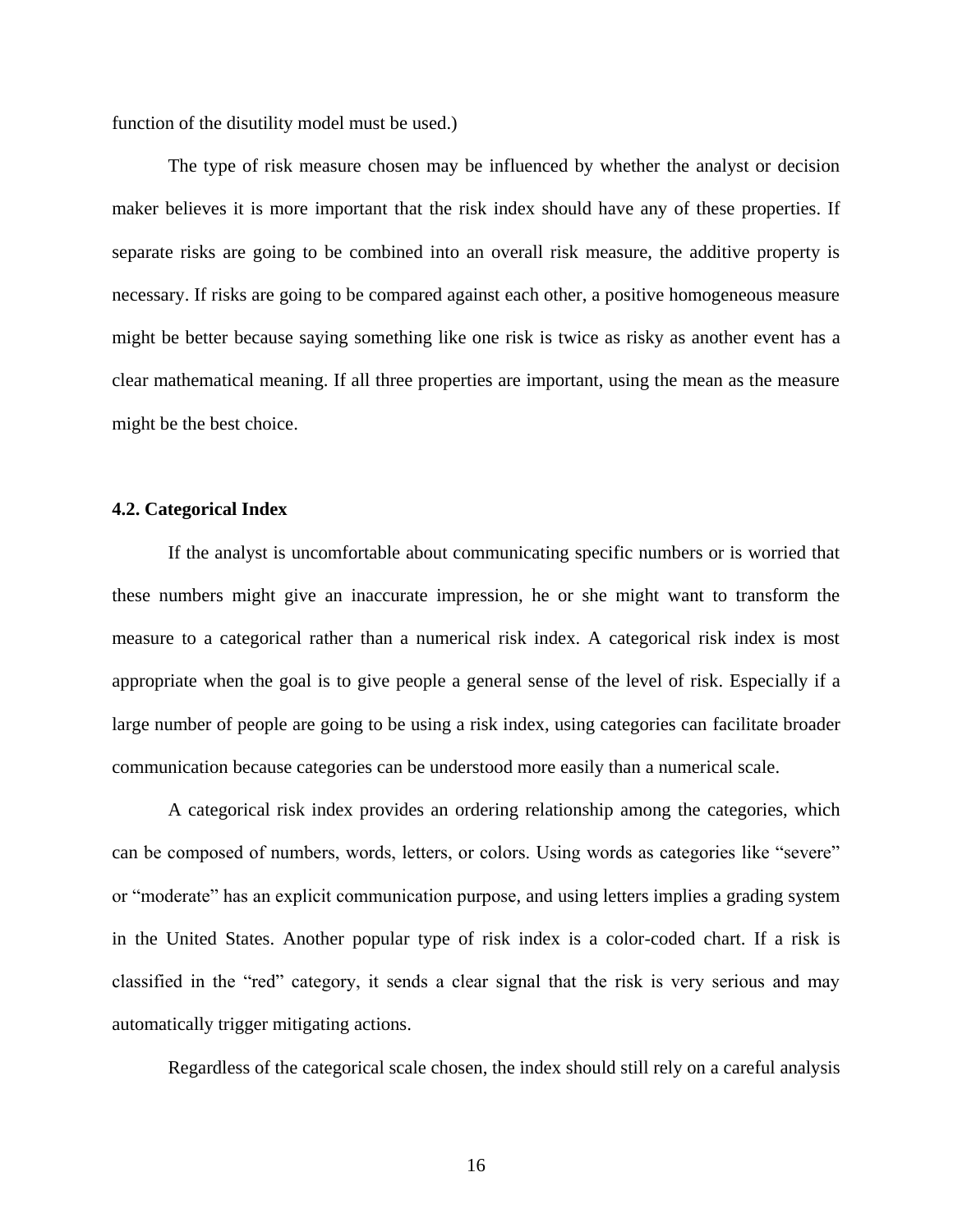function of the disutility model must be used.)

The type of risk measure chosen may be influenced by whether the analyst or decision maker believes it is more important that the risk index should have any of these properties. If separate risks are going to be combined into an overall risk measure, the additive property is necessary. If risks are going to be compared against each other, a positive homogeneous measure might be better because saying something like one risk is twice as risky as another event has a clear mathematical meaning. If all three properties are important, using the mean as the measure might be the best choice.

# **4.2. Categorical Index**

If the analyst is uncomfortable about communicating specific numbers or is worried that these numbers might give an inaccurate impression, he or she might want to transform the measure to a categorical rather than a numerical risk index. A categorical risk index is most appropriate when the goal is to give people a general sense of the level of risk. Especially if a large number of people are going to be using a risk index, using categories can facilitate broader communication because categories can be understood more easily than a numerical scale.

A categorical risk index provides an ordering relationship among the categories, which can be composed of numbers, words, letters, or colors. Using words as categories like "severe" or "moderate" has an explicit communication purpose, and using letters implies a grading system in the United States. Another popular type of risk index is a color-coded chart. If a risk is classified in the "red" category, it sends a clear signal that the risk is very serious and may automatically trigger mitigating actions.

Regardless of the categorical scale chosen, the index should still rely on a careful analysis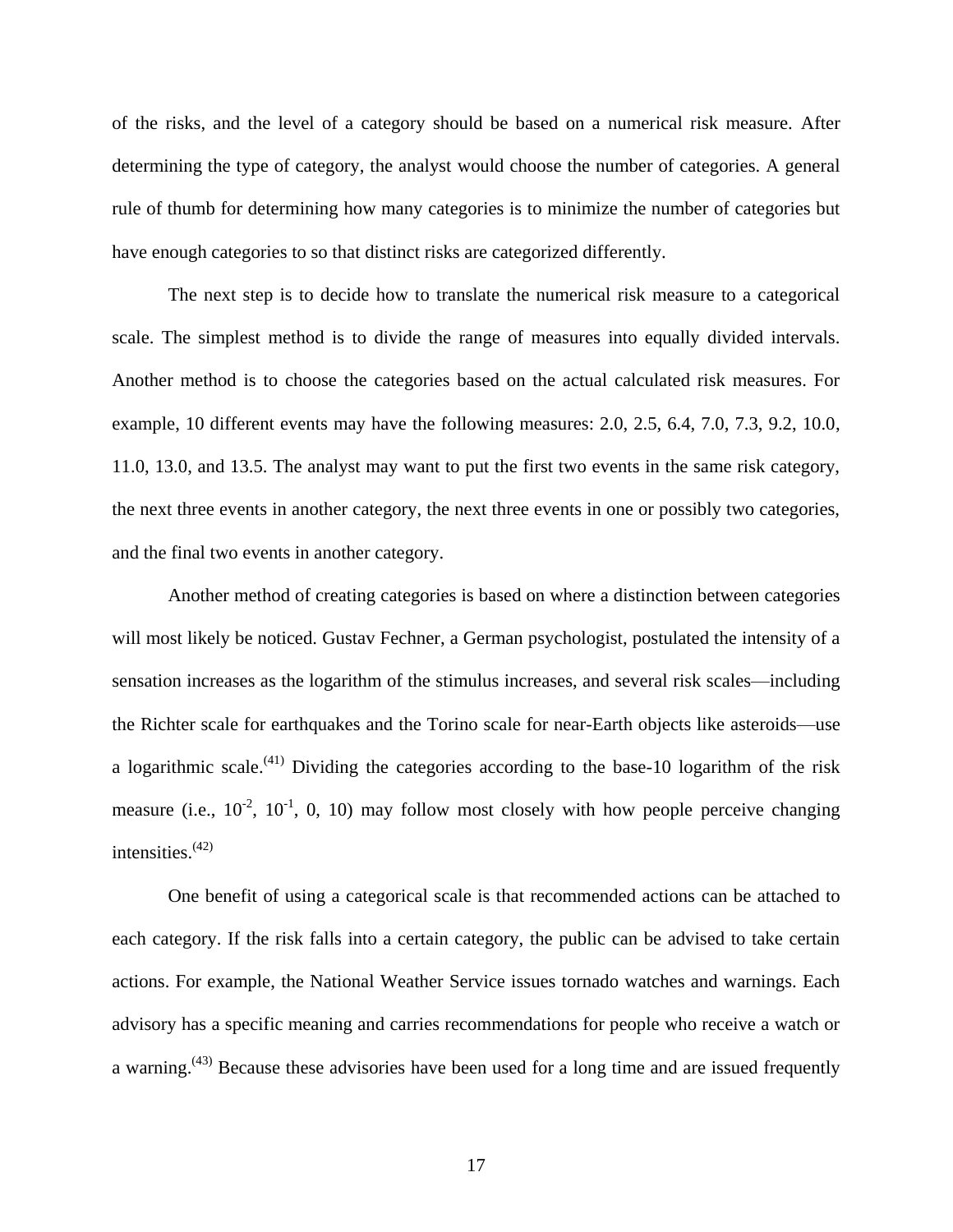of the risks, and the level of a category should be based on a numerical risk measure. After determining the type of category, the analyst would choose the number of categories. A general rule of thumb for determining how many categories is to minimize the number of categories but have enough categories to so that distinct risks are categorized differently.

The next step is to decide how to translate the numerical risk measure to a categorical scale. The simplest method is to divide the range of measures into equally divided intervals. Another method is to choose the categories based on the actual calculated risk measures. For example, 10 different events may have the following measures: 2.0, 2.5, 6.4, 7.0, 7.3, 9.2, 10.0, 11.0, 13.0, and 13.5. The analyst may want to put the first two events in the same risk category, the next three events in another category, the next three events in one or possibly two categories, and the final two events in another category.

Another method of creating categories is based on where a distinction between categories will most likely be noticed. Gustav Fechner, a German psychologist, postulated the intensity of a sensation increases as the logarithm of the stimulus increases, and several risk scales—including the Richter scale for earthquakes and the Torino scale for near-Earth objects like asteroids—use a logarithmic scale.<sup> $(41)$ </sup> Dividing the categories according to the base-10 logarithm of the risk measure (i.e.,  $10^{-2}$ ,  $10^{-1}$ , 0, 10) may follow most closely with how people perceive changing intensities. (42)

One benefit of using a categorical scale is that recommended actions can be attached to each category. If the risk falls into a certain category, the public can be advised to take certain actions. For example, the National Weather Service issues tornado watches and warnings. Each advisory has a specific meaning and carries recommendations for people who receive a watch or a warning.<sup>(43)</sup> Because these advisories have been used for a long time and are issued frequently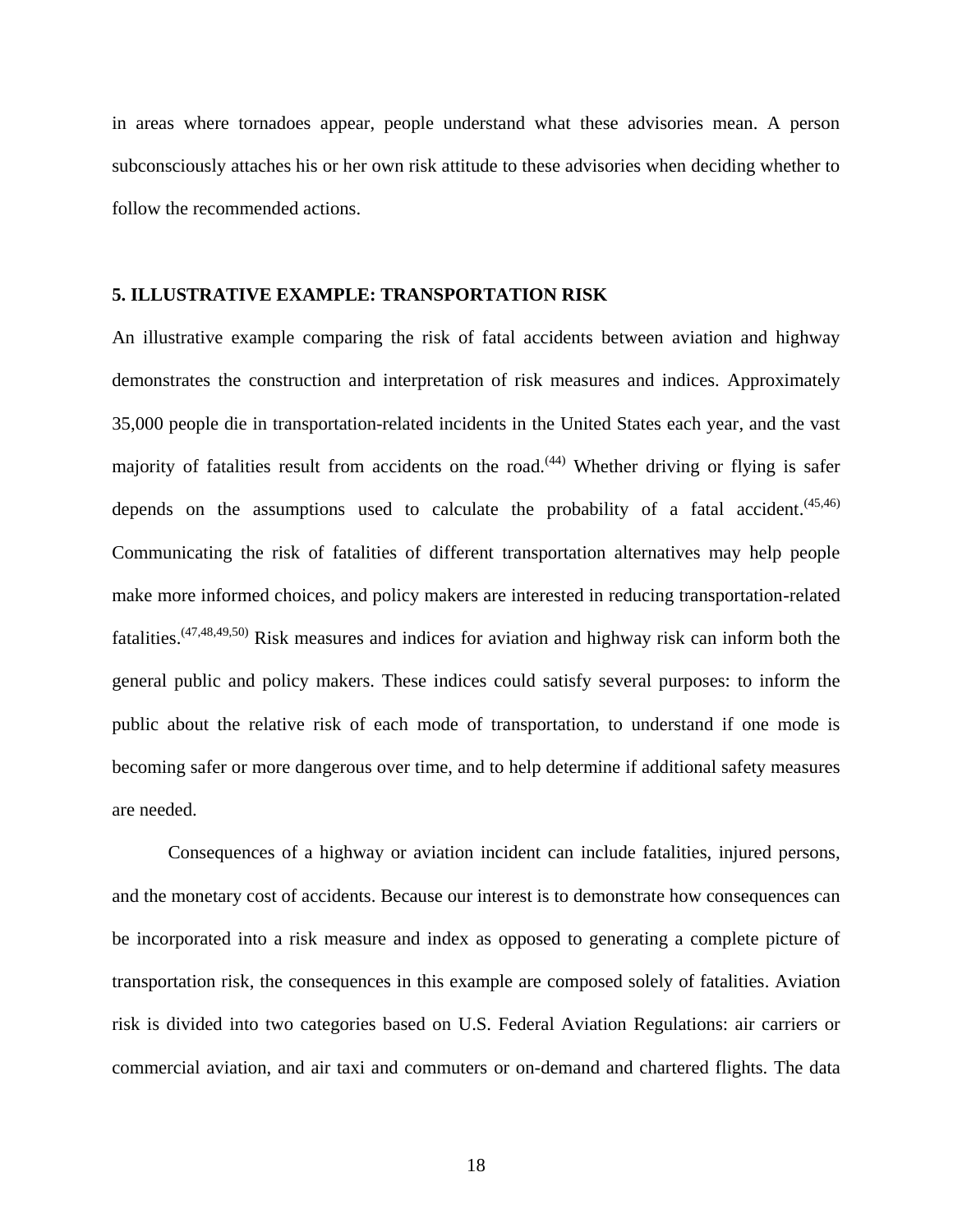in areas where tornadoes appear, people understand what these advisories mean. A person subconsciously attaches his or her own risk attitude to these advisories when deciding whether to follow the recommended actions.

# **5. ILLUSTRATIVE EXAMPLE: TRANSPORTATION RISK**

An illustrative example comparing the risk of fatal accidents between aviation and highway demonstrates the construction and interpretation of risk measures and indices. Approximately 35,000 people die in transportation-related incidents in the United States each year, and the vast majority of fatalities result from accidents on the road.<sup> $(44)$ </sup> Whether driving or flying is safer depends on the assumptions used to calculate the probability of a fatal accident.  $(45,46)$ Communicating the risk of fatalities of different transportation alternatives may help people make more informed choices, and policy makers are interested in reducing transportation-related fatalities.<sup>(47,48,49,50)</sup> Risk measures and indices for aviation and highway risk can inform both the general public and policy makers. These indices could satisfy several purposes: to inform the public about the relative risk of each mode of transportation, to understand if one mode is becoming safer or more dangerous over time, and to help determine if additional safety measures are needed.

Consequences of a highway or aviation incident can include fatalities, injured persons, and the monetary cost of accidents. Because our interest is to demonstrate how consequences can be incorporated into a risk measure and index as opposed to generating a complete picture of transportation risk, the consequences in this example are composed solely of fatalities. Aviation risk is divided into two categories based on U.S. Federal Aviation Regulations: air carriers or commercial aviation, and air taxi and commuters or on-demand and chartered flights. The data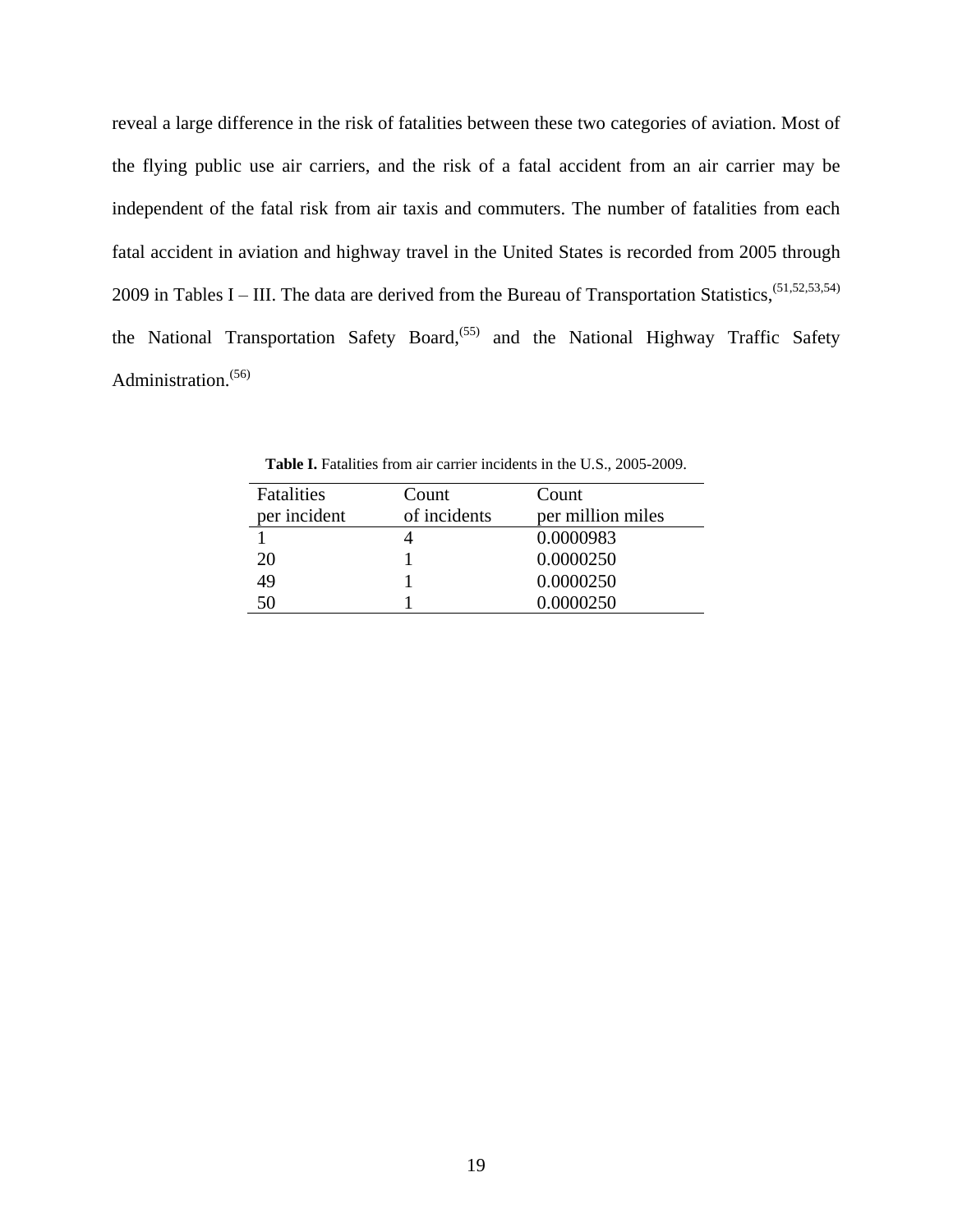reveal a large difference in the risk of fatalities between these two categories of aviation. Most of the flying public use air carriers, and the risk of a fatal accident from an air carrier may be independent of the fatal risk from air taxis and commuters. The number of fatalities from each fatal accident in aviation and highway travel in the United States is recorded from 2005 through 2009 in Tables I – III. The data are derived from the Bureau of Transportation Statistics,  $(51, 52, 53, 54)$ the National Transportation Safety Board,<sup>(55)</sup> and the National Highway Traffic Safety Administration.<sup>(56)</sup>

| <b>Fatalities</b> | Count        | Count             |
|-------------------|--------------|-------------------|
| per incident      | of incidents | per million miles |
|                   |              | 0.0000983         |
| 20                |              | 0.0000250         |
| 49                |              | 0.0000250         |
| 50                |              | 0.0000250         |

Table I. Fatalities from air carrier incidents in the U.S., 2005-2009.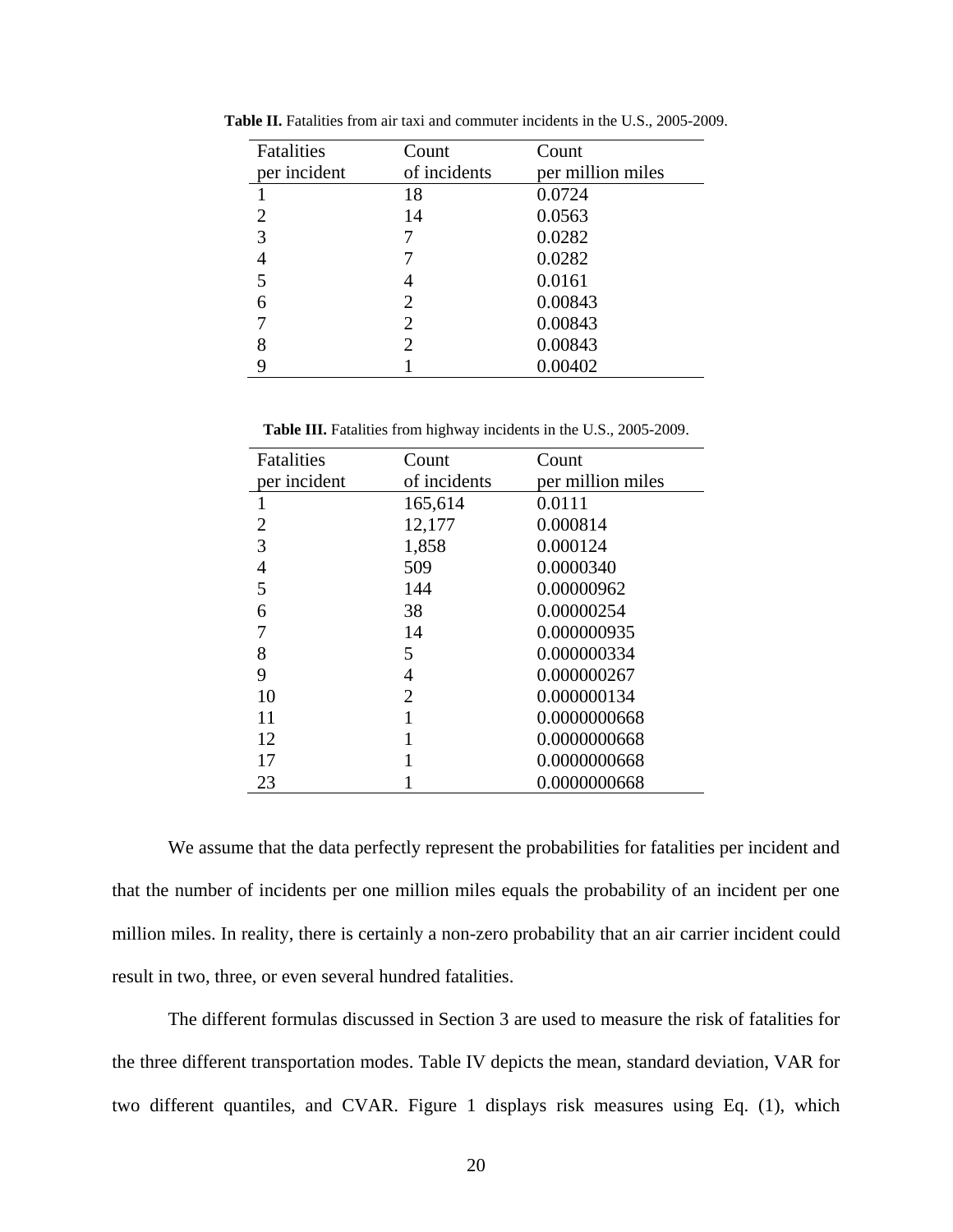| Fatalities   | Count        | Count             |
|--------------|--------------|-------------------|
| per incident | of incidents | per million miles |
|              | 18           | 0.0724            |
|              | 14           | 0.0563            |
| 3            |              | 0.0282            |
|              |              | 0.0282            |
| 5            |              | 0.0161            |
|              | 2            | 0.00843           |
|              | 2            | 0.00843           |
| 8            | 2            | 0.00843           |
|              |              | 0.00402           |

Table II. Fatalities from air taxi and commuter incidents in the U.S., 2005-2009.

**Table III.** Fatalities from highway incidents in the U.S., 2005-2009.

| Fatalities     | Count          | Count             |
|----------------|----------------|-------------------|
| per incident   | of incidents   | per million miles |
| 1              | 165,614        | 0.0111            |
| $\overline{2}$ | 12,177         | 0.000814          |
| 3              | 1,858          | 0.000124          |
| 4              | 509            | 0.0000340         |
| 5              | 144            | 0.00000962        |
| 6              | 38             | 0.00000254        |
| 7              | 14             | 0.000000935       |
| 8              | 5              | 0.000000334       |
| 9              | 4              | 0.000000267       |
| 10             | $\overline{2}$ | 0.000000134       |
| 11             |                | 0.0000000668      |
| 12             | 1              | 0.0000000668      |
| 17             |                | 0.0000000668      |
| 23             |                | 0.0000000668      |

We assume that the data perfectly represent the probabilities for fatalities per incident and that the number of incidents per one million miles equals the probability of an incident per one million miles. In reality, there is certainly a non-zero probability that an air carrier incident could result in two, three, or even several hundred fatalities.

The different formulas discussed in Section 3 are used to measure the risk of fatalities for the three different transportation modes. Table IV depicts the mean, standard deviation, VAR for two different quantiles, and CVAR. Figure 1 displays risk measures using Eq. (1), which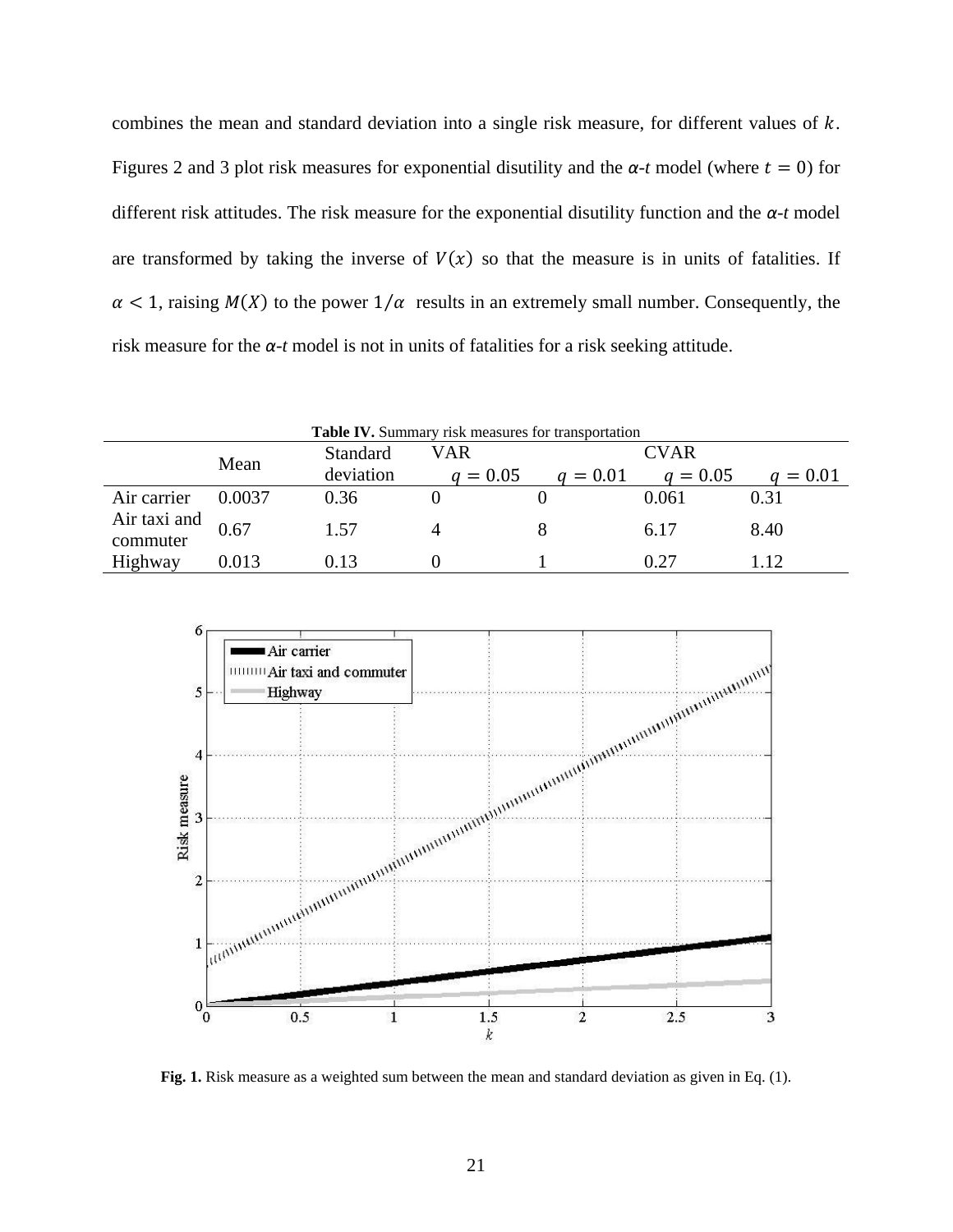combines the mean and standard deviation into a single risk measure, for different values of  $k$ . Figures 2 and 3 plot risk measures for exponential disutility and the  $\alpha$ -*t* model (where  $t = 0$ ) for different risk attitudes. The risk measure for the exponential disutility function and the *α*-*t* model are transformed by taking the inverse of  $V(x)$  so that the measure is in units of fatalities. If  $\alpha$  < 1, raising  $M(X)$  to the power  $1/\alpha$  results in an extremely small number. Consequently, the risk measure for the *α*-*t* model is not in units of fatalities for a risk seeking attitude.

| Table IV. Summary risk measures for transportation |        |                 |            |             |            |          |
|----------------------------------------------------|--------|-----------------|------------|-------------|------------|----------|
|                                                    | Mean   | VAR<br>Standard |            | <b>CVAR</b> |            |          |
|                                                    |        | deviation       | $q = 0.05$ | $q = 0.01$  | $q = 0.05$ | $= 0.01$ |
| Air carrier                                        | 0.0037 | 0.36            |            |             | 0.061      | 0.31     |
| Air taxi and<br>commuter                           | 0.67   | 1.57            |            |             | 6.17       | 8.40     |
| Highway                                            | 0.013  | 0.13            |            |             | 0.27       | 112      |



**Fig. 1.** Risk measure as a weighted sum between the mean and standard deviation as given in Eq. (1).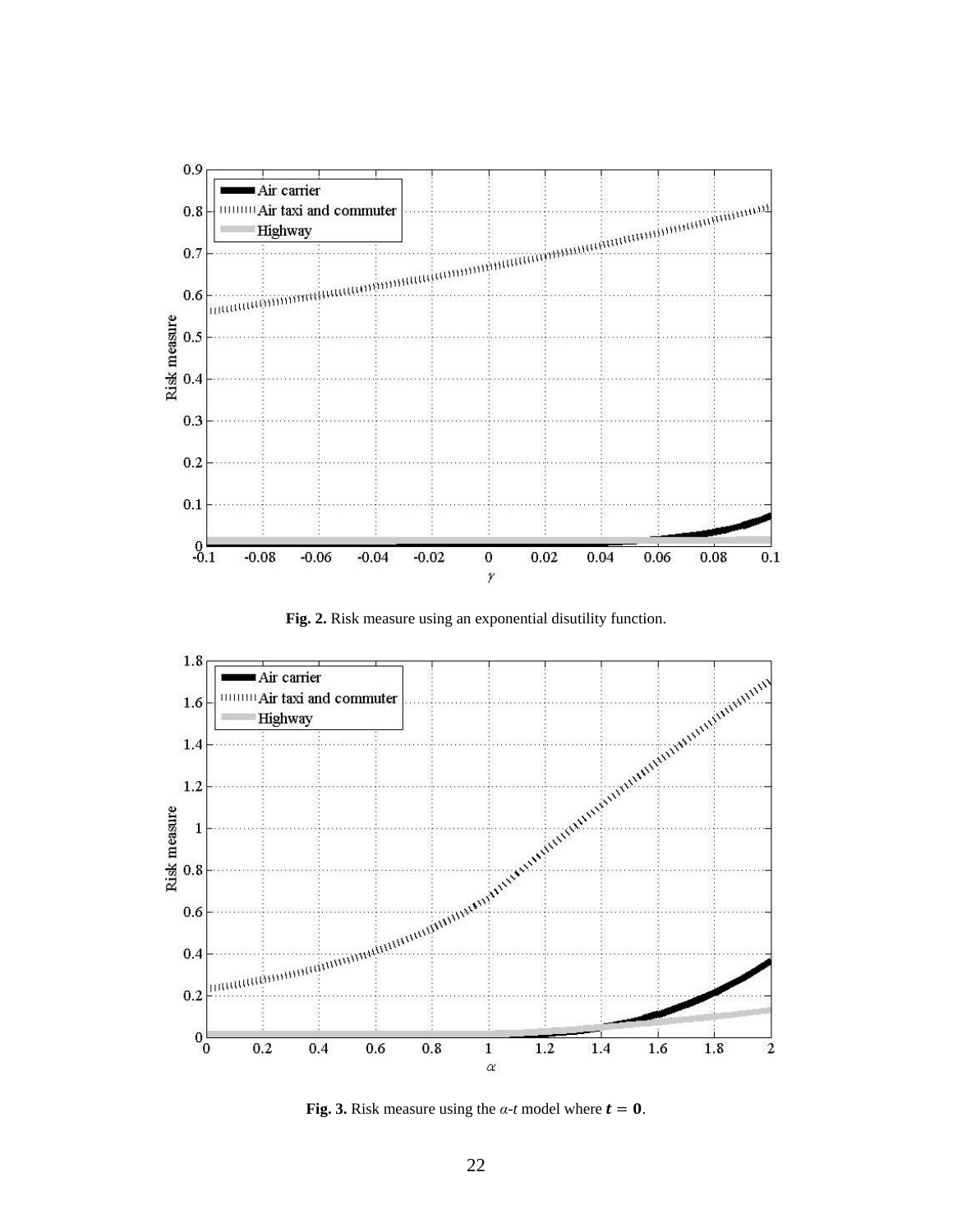

**Fig. 2.** Risk measure using an exponential disutility function.



**Fig.** 3. Risk measure using the  $\alpha$ -*t* model where  $t = 0$ .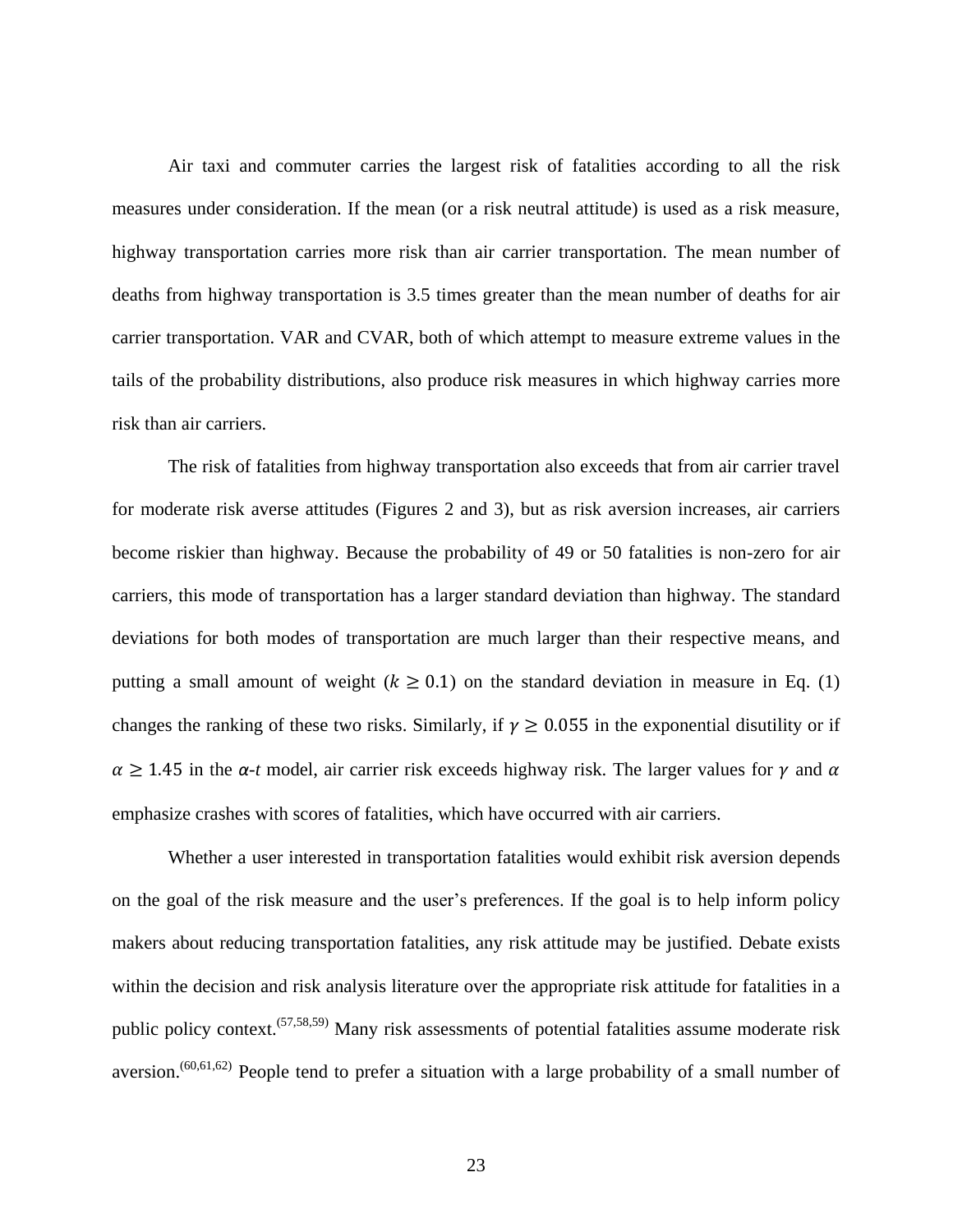Air taxi and commuter carries the largest risk of fatalities according to all the risk measures under consideration. If the mean (or a risk neutral attitude) is used as a risk measure, highway transportation carries more risk than air carrier transportation. The mean number of deaths from highway transportation is 3.5 times greater than the mean number of deaths for air carrier transportation. VAR and CVAR, both of which attempt to measure extreme values in the tails of the probability distributions, also produce risk measures in which highway carries more risk than air carriers.

The risk of fatalities from highway transportation also exceeds that from air carrier travel for moderate risk averse attitudes (Figures 2 and 3), but as risk aversion increases, air carriers become riskier than highway. Because the probability of 49 or 50 fatalities is non-zero for air carriers, this mode of transportation has a larger standard deviation than highway. The standard deviations for both modes of transportation are much larger than their respective means, and putting a small amount of weight ( $k \ge 0.1$ ) on the standard deviation in measure in Eq. (1) changes the ranking of these two risks. Similarly, if  $\gamma \geq 0.055$  in the exponential disutility or if  $\alpha \geq 1.45$  in the  $\alpha$ -*t* model, air carrier risk exceeds highway risk. The larger values for  $\gamma$  and  $\alpha$ emphasize crashes with scores of fatalities, which have occurred with air carriers.

Whether a user interested in transportation fatalities would exhibit risk aversion depends on the goal of the risk measure and the user's preferences. If the goal is to help inform policy makers about reducing transportation fatalities, any risk attitude may be justified. Debate exists within the decision and risk analysis literature over the appropriate risk attitude for fatalities in a public policy context.<sup>(57,58,59)</sup> Many risk assessments of potential fatalities assume moderate risk aversion.<sup> $(60,61,62)$ </sup> People tend to prefer a situation with a large probability of a small number of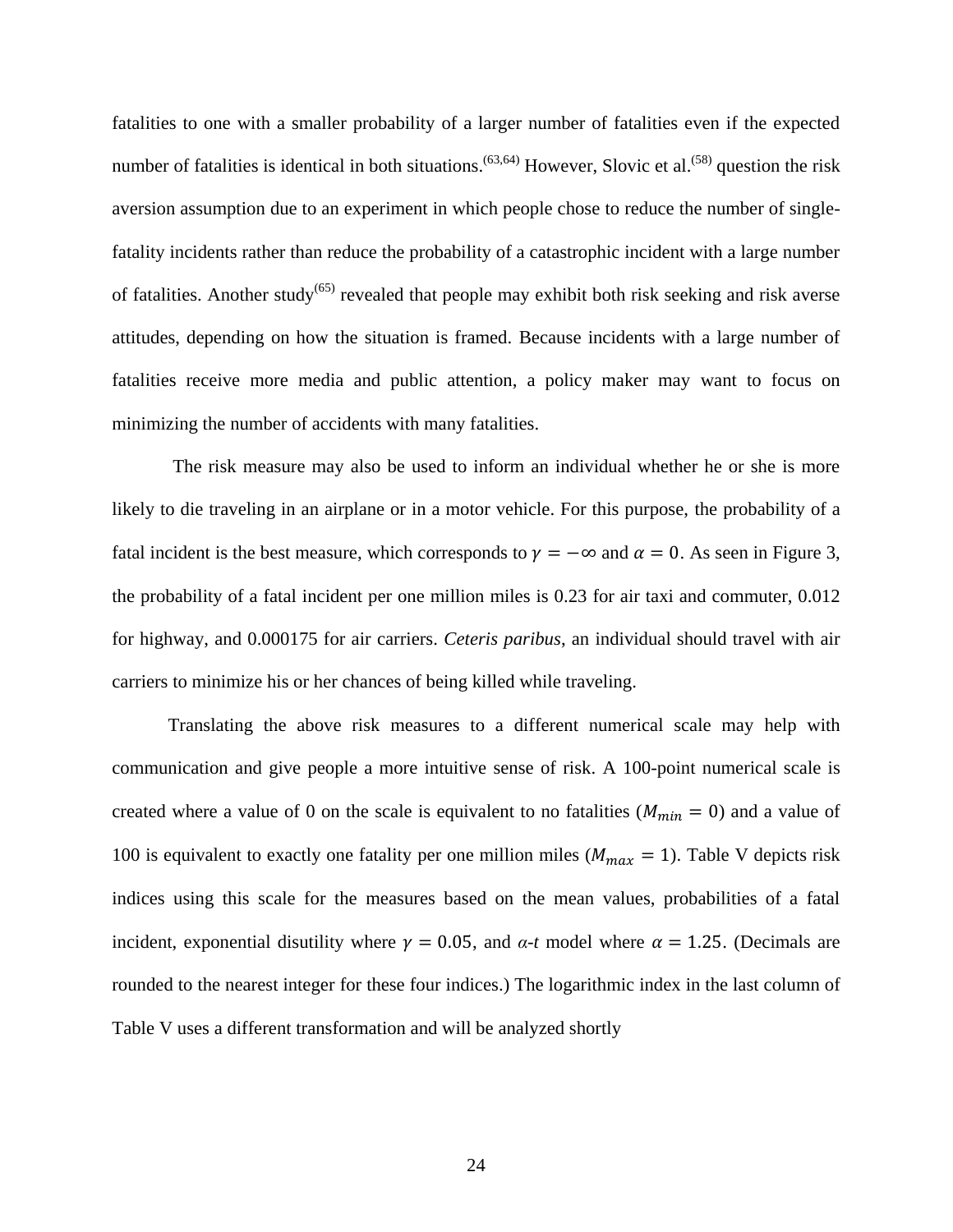fatalities to one with a smaller probability of a larger number of fatalities even if the expected number of fatalities is identical in both situations.  $^{(63,64)}$  However, Slovic et al.  $^{(58)}$  question the risk aversion assumption due to an experiment in which people chose to reduce the number of singlefatality incidents rather than reduce the probability of a catastrophic incident with a large number of fatalities. Another study<sup>(65)</sup> revealed that people may exhibit both risk seeking and risk averse attitudes, depending on how the situation is framed. Because incidents with a large number of fatalities receive more media and public attention, a policy maker may want to focus on minimizing the number of accidents with many fatalities.

The risk measure may also be used to inform an individual whether he or she is more likely to die traveling in an airplane or in a motor vehicle. For this purpose, the probability of a fatal incident is the best measure, which corresponds to  $\gamma = -\infty$  and  $\alpha = 0$ . As seen in Figure 3, the probability of a fatal incident per one million miles is 0.23 for air taxi and commuter, 0.012 for highway, and 0.000175 for air carriers. *Ceteris paribus*, an individual should travel with air carriers to minimize his or her chances of being killed while traveling.

Translating the above risk measures to a different numerical scale may help with communication and give people a more intuitive sense of risk. A 100-point numerical scale is created where a value of 0 on the scale is equivalent to no fatalities ( $M_{min} = 0$ ) and a value of 100 is equivalent to exactly one fatality per one million miles ( $M_{max} = 1$ ). Table V depicts risk indices using this scale for the measures based on the mean values, probabilities of a fatal incident, exponential disutility where  $\gamma = 0.05$ , and  $\alpha$ -*t* model where  $\alpha = 1.25$ . (Decimals are rounded to the nearest integer for these four indices.) The logarithmic index in the last column of Table V uses a different transformation and will be analyzed shortly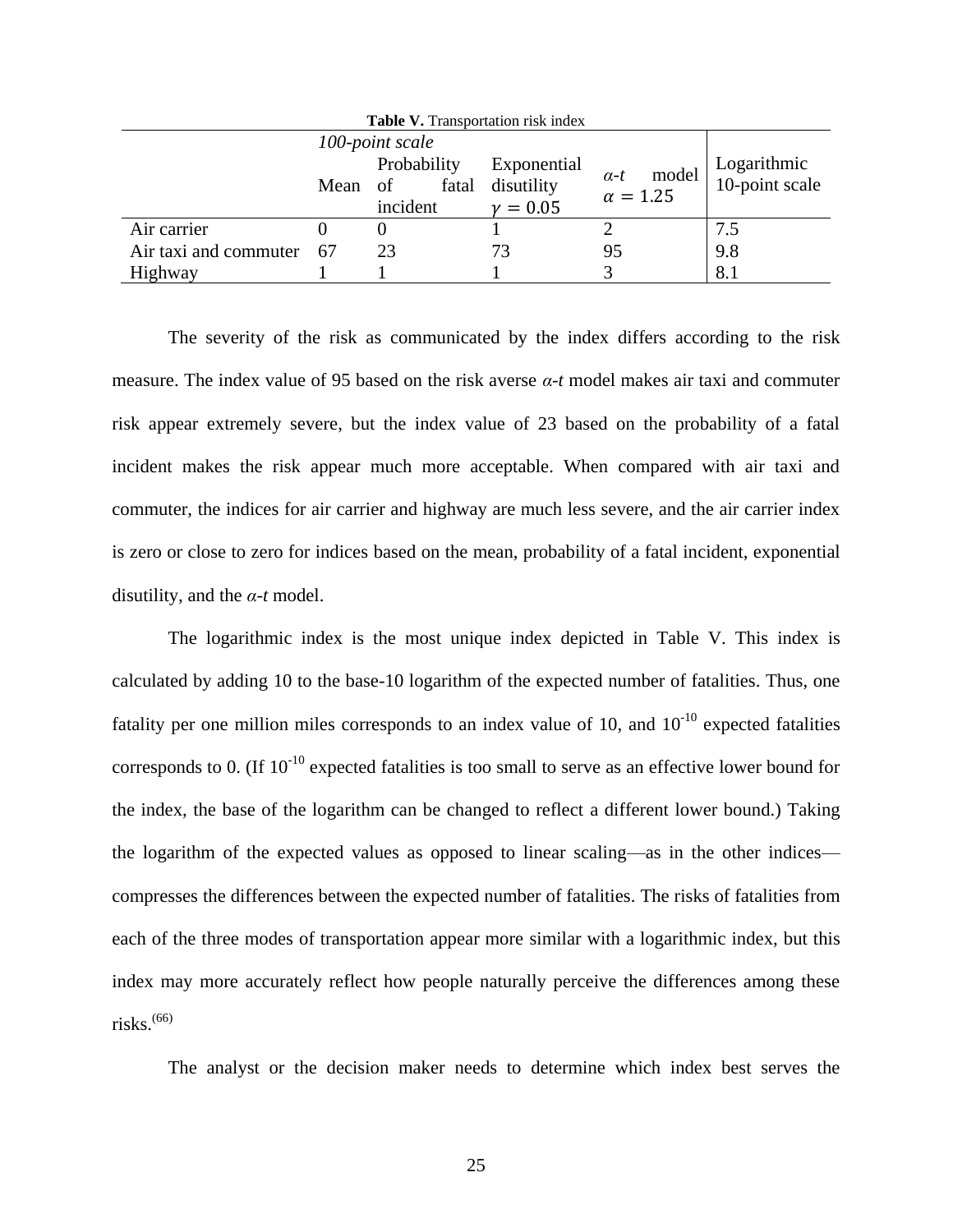| Table V. Transportation risk index |         |                                  |                                         |                                         |                               |
|------------------------------------|---------|----------------------------------|-----------------------------------------|-----------------------------------------|-------------------------------|
| 100-point scale                    |         |                                  |                                         |                                         |                               |
|                                    | Mean of | Probability<br>fatal<br>incident | Exponential<br>disutility<br>$v = 0.05$ | model<br>$\alpha$ -t<br>$\alpha = 1.25$ | Logarithmic<br>10-point scale |
| Air carrier                        |         |                                  |                                         |                                         | 7.5                           |
| Air taxi and commuter              | 67      | 23                               | 73                                      | 95                                      | 9.8                           |
| Highway                            |         |                                  |                                         |                                         | 8.1                           |

The severity of the risk as communicated by the index differs according to the risk measure. The index value of 95 based on the risk averse *α*-*t* model makes air taxi and commuter risk appear extremely severe, but the index value of 23 based on the probability of a fatal incident makes the risk appear much more acceptable. When compared with air taxi and commuter, the indices for air carrier and highway are much less severe, and the air carrier index is zero or close to zero for indices based on the mean, probability of a fatal incident, exponential disutility, and the *α*-*t* model.

The logarithmic index is the most unique index depicted in Table V. This index is calculated by adding 10 to the base-10 logarithm of the expected number of fatalities. Thus, one fatality per one million miles corresponds to an index value of 10, and  $10^{-10}$  expected fatalities corresponds to 0. (If  $10^{-10}$  expected fatalities is too small to serve as an effective lower bound for the index, the base of the logarithm can be changed to reflect a different lower bound.) Taking the logarithm of the expected values as opposed to linear scaling—as in the other indices compresses the differences between the expected number of fatalities. The risks of fatalities from each of the three modes of transportation appear more similar with a logarithmic index, but this index may more accurately reflect how people naturally perceive the differences among these risks. (66)

The analyst or the decision maker needs to determine which index best serves the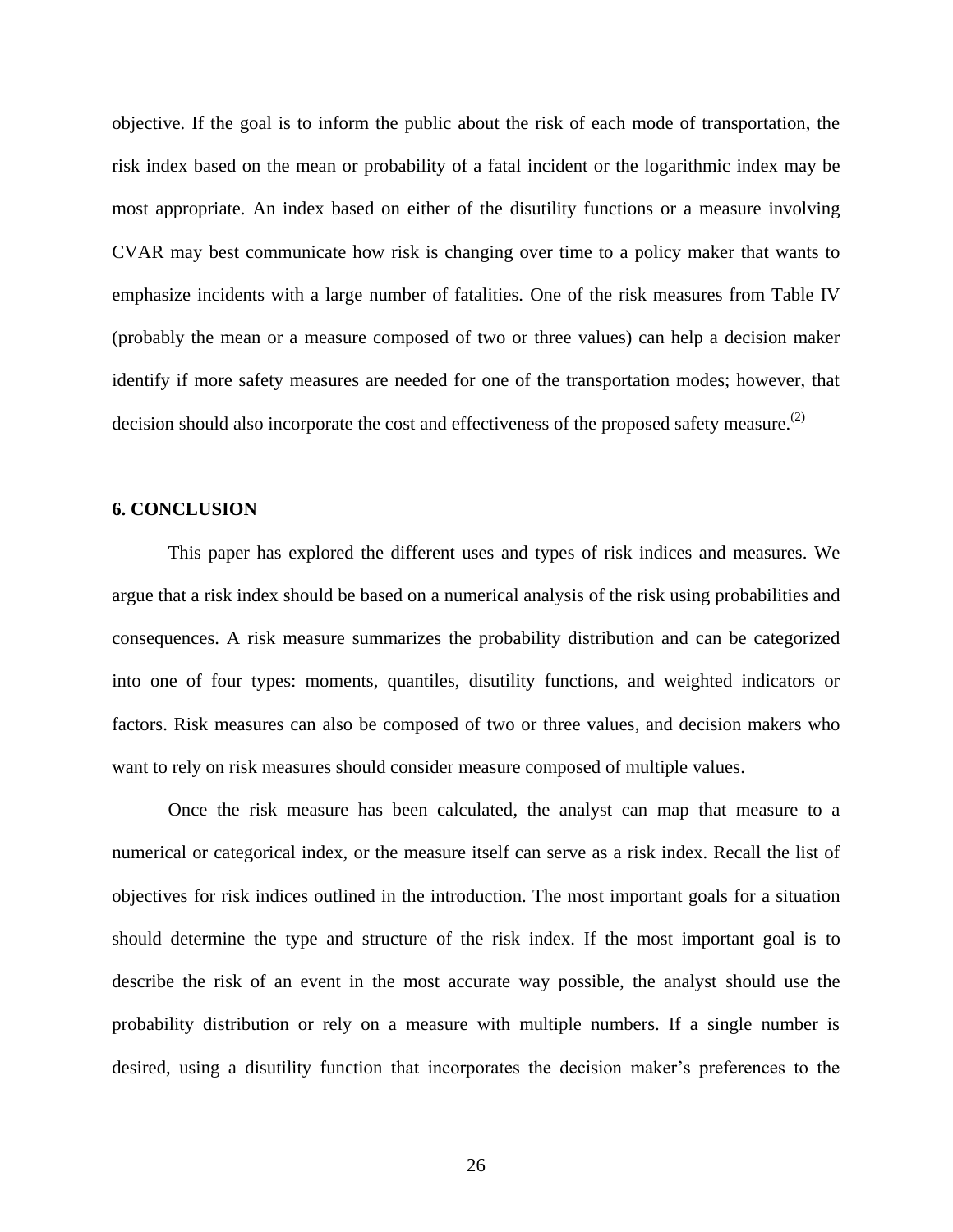objective. If the goal is to inform the public about the risk of each mode of transportation, the risk index based on the mean or probability of a fatal incident or the logarithmic index may be most appropriate. An index based on either of the disutility functions or a measure involving CVAR may best communicate how risk is changing over time to a policy maker that wants to emphasize incidents with a large number of fatalities. One of the risk measures from Table IV (probably the mean or a measure composed of two or three values) can help a decision maker identify if more safety measures are needed for one of the transportation modes; however, that decision should also incorporate the cost and effectiveness of the proposed safety measure.<sup>[\(2\)](#page-3-0)</sup>

#### **6. CONCLUSION**

This paper has explored the different uses and types of risk indices and measures. We argue that a risk index should be based on a numerical analysis of the risk using probabilities and consequences. A risk measure summarizes the probability distribution and can be categorized into one of four types: moments, quantiles, disutility functions, and weighted indicators or factors. Risk measures can also be composed of two or three values, and decision makers who want to rely on risk measures should consider measure composed of multiple values.

Once the risk measure has been calculated, the analyst can map that measure to a numerical or categorical index, or the measure itself can serve as a risk index. Recall the list of objectives for risk indices outlined in the introduction. The most important goals for a situation should determine the type and structure of the risk index. If the most important goal is to describe the risk of an event in the most accurate way possible, the analyst should use the probability distribution or rely on a measure with multiple numbers. If a single number is desired, using a disutility function that incorporates the decision maker's preferences to the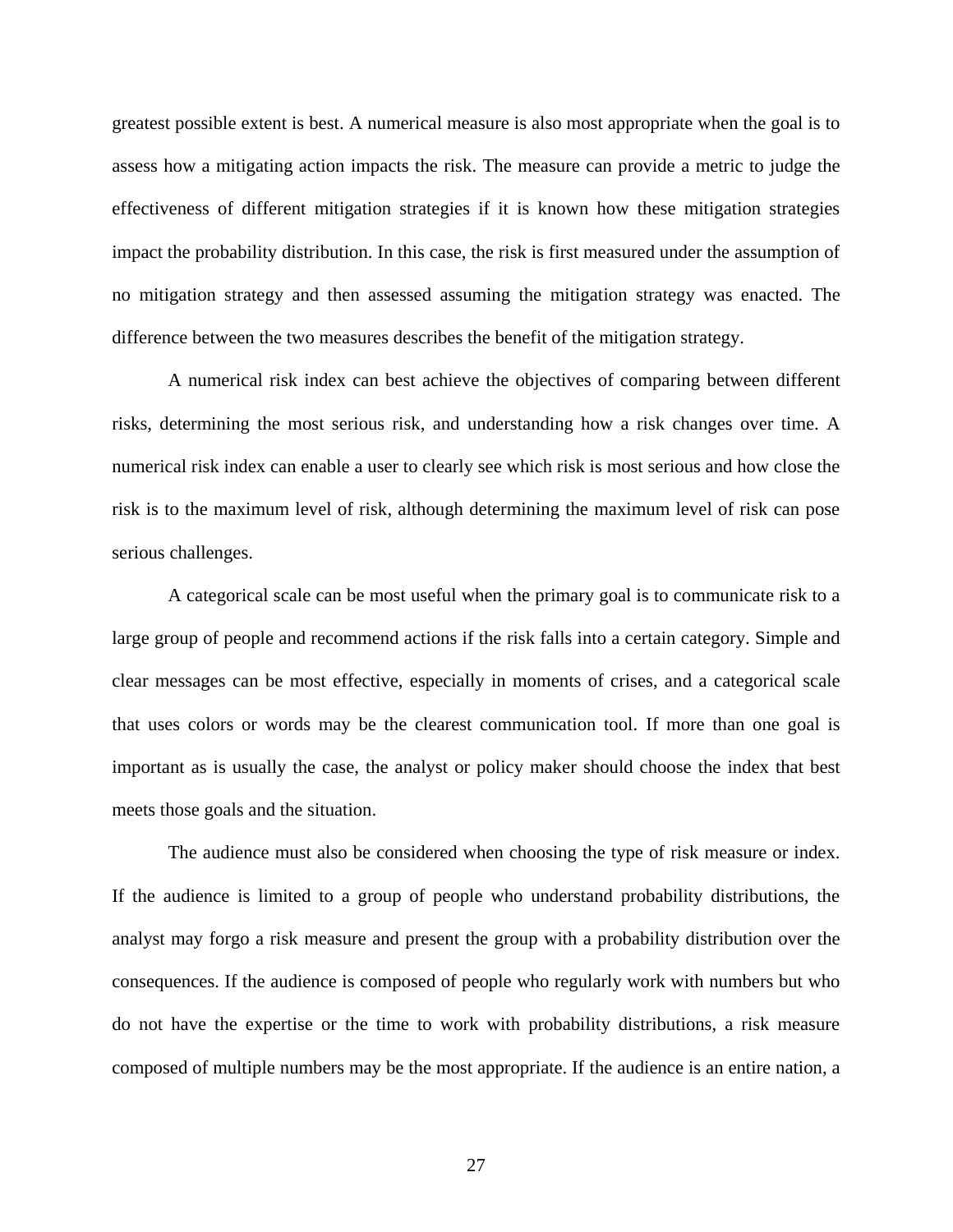greatest possible extent is best. A numerical measure is also most appropriate when the goal is to assess how a mitigating action impacts the risk. The measure can provide a metric to judge the effectiveness of different mitigation strategies if it is known how these mitigation strategies impact the probability distribution. In this case, the risk is first measured under the assumption of no mitigation strategy and then assessed assuming the mitigation strategy was enacted. The difference between the two measures describes the benefit of the mitigation strategy.

A numerical risk index can best achieve the objectives of comparing between different risks, determining the most serious risk, and understanding how a risk changes over time. A numerical risk index can enable a user to clearly see which risk is most serious and how close the risk is to the maximum level of risk, although determining the maximum level of risk can pose serious challenges.

A categorical scale can be most useful when the primary goal is to communicate risk to a large group of people and recommend actions if the risk falls into a certain category. Simple and clear messages can be most effective, especially in moments of crises, and a categorical scale that uses colors or words may be the clearest communication tool. If more than one goal is important as is usually the case, the analyst or policy maker should choose the index that best meets those goals and the situation.

The audience must also be considered when choosing the type of risk measure or index. If the audience is limited to a group of people who understand probability distributions, the analyst may forgo a risk measure and present the group with a probability distribution over the consequences. If the audience is composed of people who regularly work with numbers but who do not have the expertise or the time to work with probability distributions, a risk measure composed of multiple numbers may be the most appropriate. If the audience is an entire nation, a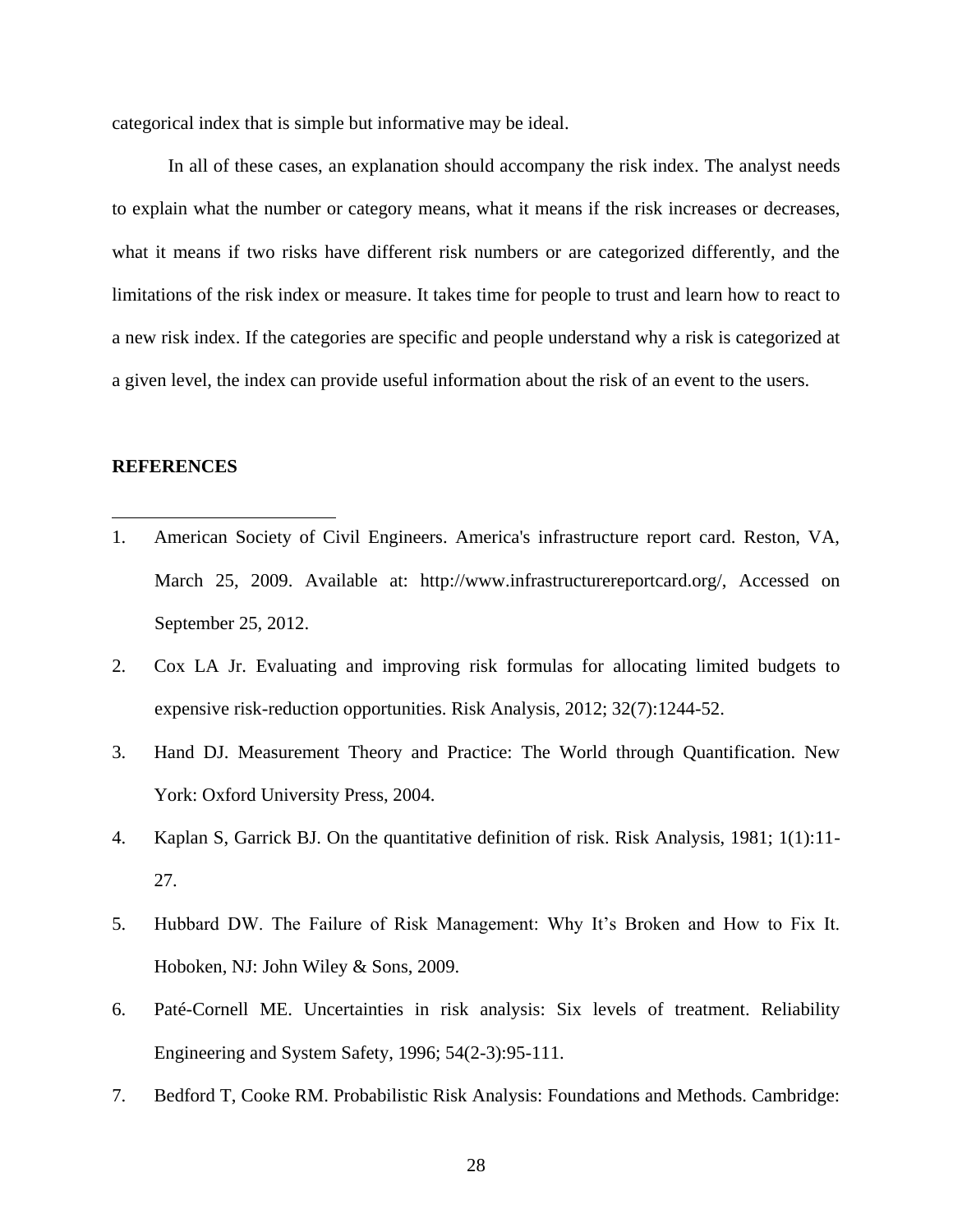categorical index that is simple but informative may be ideal.

In all of these cases, an explanation should accompany the risk index. The analyst needs to explain what the number or category means, what it means if the risk increases or decreases, what it means if two risks have different risk numbers or are categorized differently, and the limitations of the risk index or measure. It takes time for people to trust and learn how to react to a new risk index. If the categories are specific and people understand why a risk is categorized at a given level, the index can provide useful information about the risk of an event to the users.

# **REFERENCES**

- 1. American Society of Civil Engineers. America's infrastructure report card. Reston, VA, March 25, 2009. Available at: http://www.infrastructurereportcard.org/, Accessed on September 25, 2012.
- 2. Cox LA Jr. Evaluating and improving risk formulas for allocating limited budgets to expensive risk-reduction opportunities. Risk Analysis, 2012; 32(7):1244-52.
- 3. Hand DJ. Measurement Theory and Practice: The World through Quantification. New York: Oxford University Press, 2004.
- 4. Kaplan S, Garrick BJ. On the quantitative definition of risk. Risk Analysis, 1981; 1(1):11- 27.
- 5. Hubbard DW. The Failure of Risk Management: Why It's Broken and How to Fix It. Hoboken, NJ: John Wiley & Sons, 2009.
- 6. Paté-Cornell ME. Uncertainties in risk analysis: Six levels of treatment. Reliability Engineering and System Safety, 1996; 54(2-3):95-111.
- 7. Bedford T, Cooke RM. Probabilistic Risk Analysis: Foundations and Methods. Cambridge: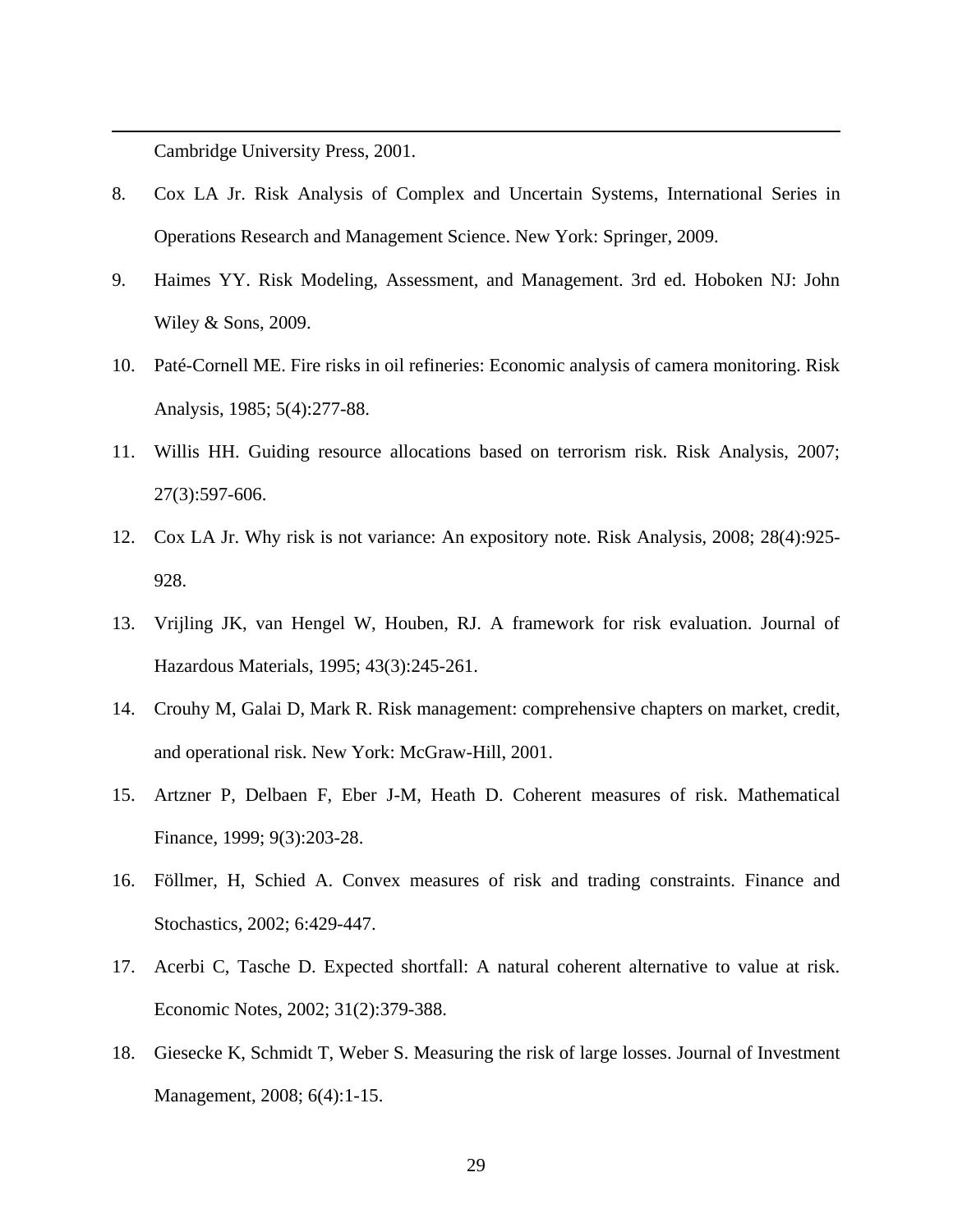Cambridge University Press, 2001.

- 8. Cox LA Jr. Risk Analysis of Complex and Uncertain Systems, International Series in Operations Research and Management Science. New York: Springer, 2009.
- 9. Haimes YY. Risk Modeling, Assessment, and Management. 3rd ed. Hoboken NJ: John Wiley & Sons, 2009.
- 10. Paté-Cornell ME. Fire risks in oil refineries: Economic analysis of camera monitoring. Risk Analysis, 1985; 5(4):277-88.
- 11. Willis HH. Guiding resource allocations based on terrorism risk. Risk Analysis, 2007; 27(3):597-606.
- 12. Cox LA Jr. Why risk is not variance: An expository note. Risk Analysis, 2008; 28(4):925- 928.
- 13. Vrijling JK, van Hengel W, Houben, RJ. A framework for risk evaluation. Journal of Hazardous Materials, 1995; 43(3):245-261.
- 14. Crouhy M, Galai D, Mark R. Risk management: comprehensive chapters on market, credit, and operational risk. New York: McGraw-Hill, 2001.
- 15. Artzner P, Delbaen F, Eber J-M, Heath D. Coherent measures of risk. Mathematical Finance, 1999; 9(3):203-28.
- 16. Föllmer, H, Schied A. Convex measures of risk and trading constraints. Finance and Stochastics, 2002; 6:429-447.
- 17. Acerbi C, Tasche D. Expected shortfall: A natural coherent alternative to value at risk. Economic Notes, 2002; 31(2):379-388.
- 18. Giesecke K, Schmidt T, Weber S. Measuring the risk of large losses. Journal of Investment Management, 2008; 6(4):1-15.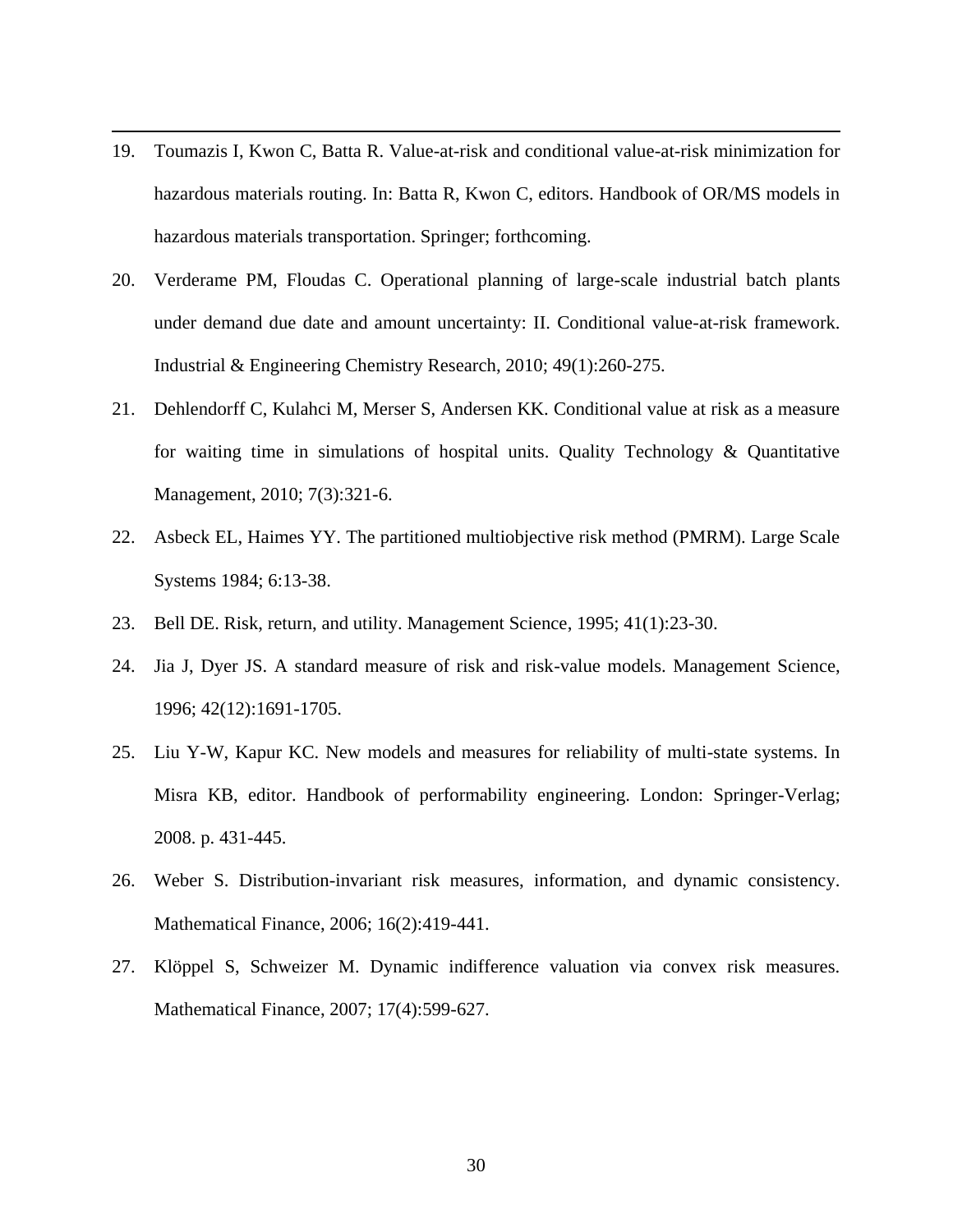19. Toumazis I, Kwon C, Batta R. Value-at-risk and conditional value-at-risk minimization for hazardous materials routing. In: Batta R, Kwon C, editors. Handbook of OR/MS models in hazardous materials transportation. Springer; forthcoming.

- 20. Verderame PM, Floudas C. Operational planning of large-scale industrial batch plants under demand due date and amount uncertainty: II. Conditional value-at-risk framework. Industrial & Engineering Chemistry Research, 2010; 49(1):260-275.
- 21. Dehlendorff C, Kulahci M, Merser S, Andersen KK. Conditional value at risk as a measure for waiting time in simulations of hospital units. Quality Technology  $\&$  Quantitative Management, 2010; 7(3):321-6.
- 22. Asbeck EL, Haimes YY. The partitioned multiobjective risk method (PMRM). Large Scale Systems 1984; 6:13-38.
- 23. Bell DE. Risk, return, and utility. Management Science, 1995; 41(1):23-30.
- 24. Jia J, Dyer JS. A standard measure of risk and risk-value models. Management Science, 1996; 42(12):1691-1705.
- 25. Liu Y-W, Kapur KC. New models and measures for reliability of multi-state systems. In Misra KB, editor. Handbook of performability engineering. London: Springer-Verlag; 2008. p. 431-445.
- 26. Weber S. Distribution-invariant risk measures, information, and dynamic consistency. Mathematical Finance, 2006; 16(2):419-441.
- 27. Klöppel S, Schweizer M. Dynamic indifference valuation via convex risk measures. Mathematical Finance, 2007; 17(4):599-627.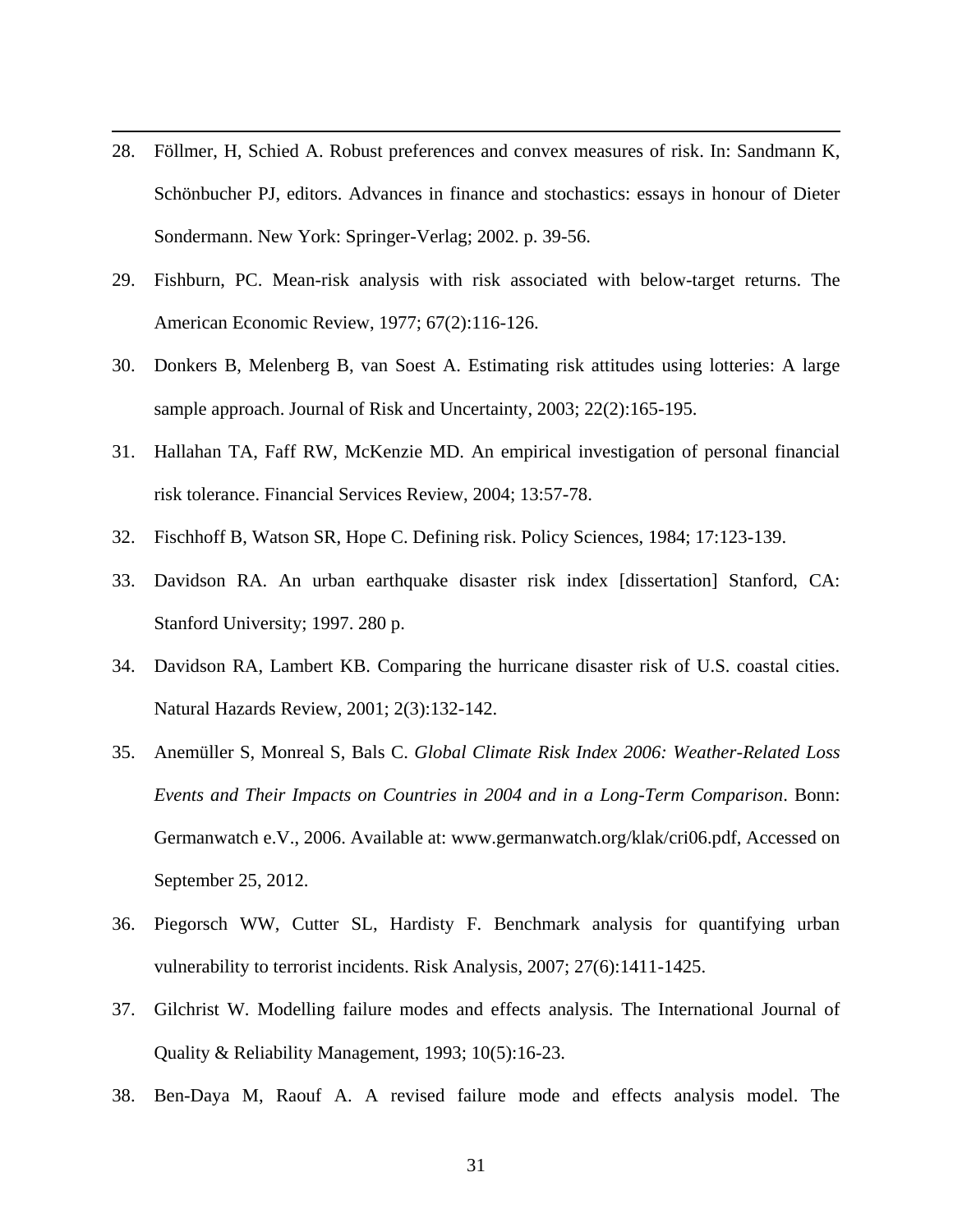28. Föllmer, H, Schied A. Robust preferences and convex measures of risk. In: Sandmann K, Schönbucher PJ, editors. Advances in finance and stochastics: essays in honour of Dieter Sondermann. New York: Springer-Verlag; 2002. p. 39-56.

- 29. Fishburn, PC. Mean-risk analysis with risk associated with below-target returns. The American Economic Review, 1977; 67(2):116-126.
- 30. Donkers B, Melenberg B, van Soest A. Estimating risk attitudes using lotteries: A large sample approach. Journal of Risk and Uncertainty, 2003; 22(2):165-195.
- 31. Hallahan TA, Faff RW, McKenzie MD. An empirical investigation of personal financial risk tolerance. Financial Services Review, 2004; 13:57-78.
- 32. Fischhoff B, Watson SR, Hope C. Defining risk. Policy Sciences, 1984; 17:123-139.
- 33. Davidson RA. An urban earthquake disaster risk index [dissertation] Stanford, CA: Stanford University; 1997. 280 p.
- 34. Davidson RA, Lambert KB. Comparing the hurricane disaster risk of U.S. coastal cities. Natural Hazards Review, 2001; 2(3):132-142.
- 35. Anemüller S, Monreal S, Bals C. *Global Climate Risk Index 2006: Weather-Related Loss Events and Their Impacts on Countries in 2004 and in a Long-Term Comparison*. Bonn: Germanwatch e.V., 2006. Available at: www.germanwatch.org/klak/cri06.pdf, Accessed on September 25, 2012.
- 36. Piegorsch WW, Cutter SL, Hardisty F. Benchmark analysis for quantifying urban vulnerability to terrorist incidents. Risk Analysis, 2007; 27(6):1411-1425.
- 37. Gilchrist W. Modelling failure modes and effects analysis. The International Journal of Quality & Reliability Management, 1993; 10(5):16-23.
- 38. Ben-Daya M, Raouf A. A revised failure mode and effects analysis model. The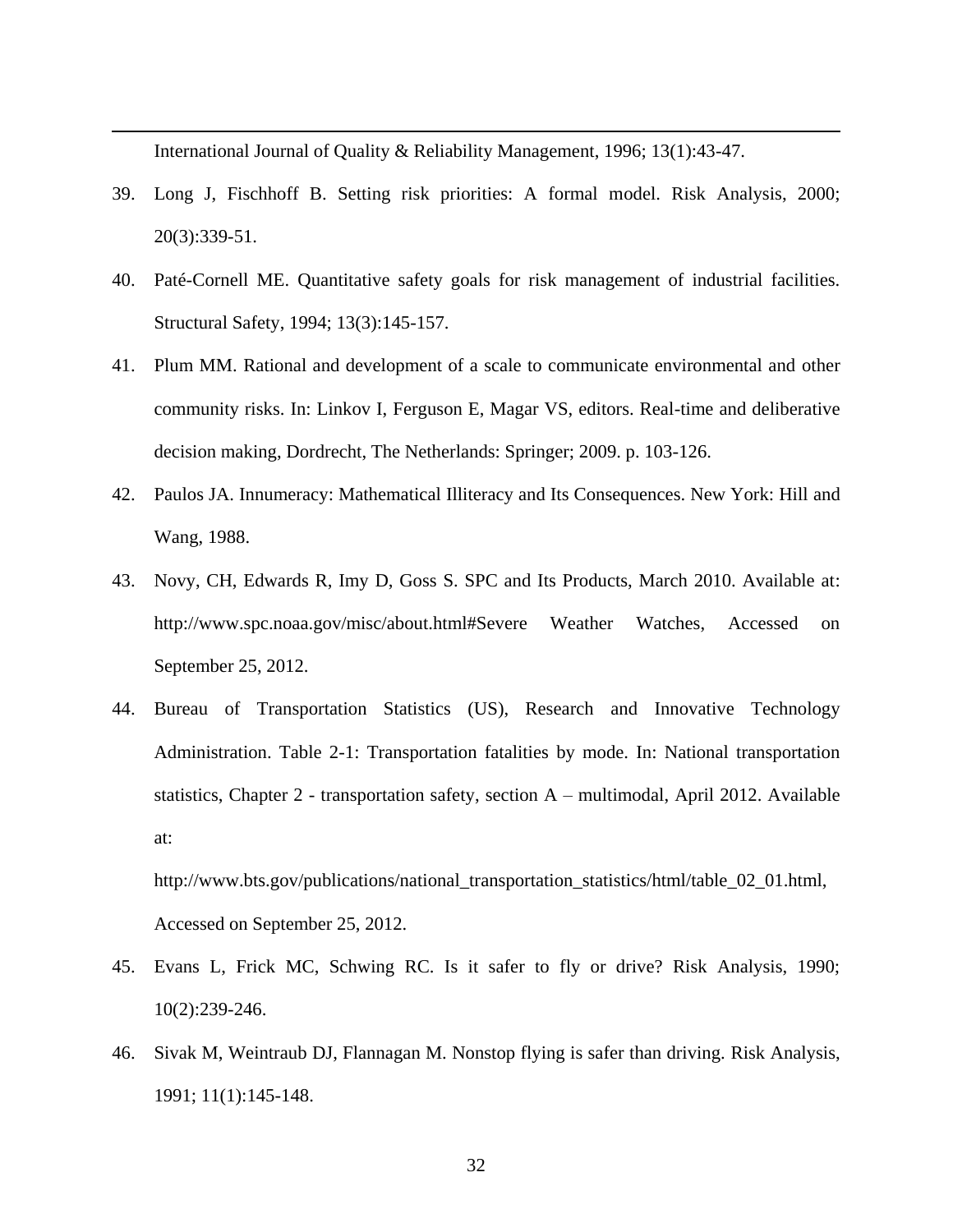International Journal of Quality & Reliability Management, 1996; 13(1):43-47.

 $\overline{a}$ 

- 39. Long J, Fischhoff B. Setting risk priorities: A formal model. Risk Analysis, 2000; 20(3):339-51.
- 40. Paté-Cornell ME. Quantitative safety goals for risk management of industrial facilities. Structural Safety, 1994; 13(3):145-157.
- 41. Plum MM. Rational and development of a scale to communicate environmental and other community risks. In: Linkov I, Ferguson E, Magar VS, editors. Real-time and deliberative decision making, Dordrecht, The Netherlands: Springer; 2009. p. 103-126.
- 42. Paulos JA. Innumeracy: Mathematical Illiteracy and Its Consequences. New York: Hill and Wang, 1988.
- 43. Novy, CH, Edwards R, Imy D, Goss S. SPC and Its Products, March 2010. Available at: http://www.spc.noaa.gov/misc/about.html#Severe Weather Watches, Accessed on September 25, 2012.
- 44. Bureau of Transportation Statistics (US), Research and Innovative Technology Administration. Table 2-1: Transportation fatalities by mode. In: National transportation statistics, Chapter 2 - transportation safety, section A – multimodal, April 2012. Available at:

http://www.bts.gov/publications/national\_transportation\_statistics/html/table\_02\_01.html, Accessed on September 25, 2012.

- 45. Evans L, Frick MC, Schwing RC. Is it safer to fly or drive? Risk Analysis, 1990; 10(2):239-246.
- 46. Sivak M, Weintraub DJ, Flannagan M. Nonstop flying is safer than driving. Risk Analysis, 1991; 11(1):145-148.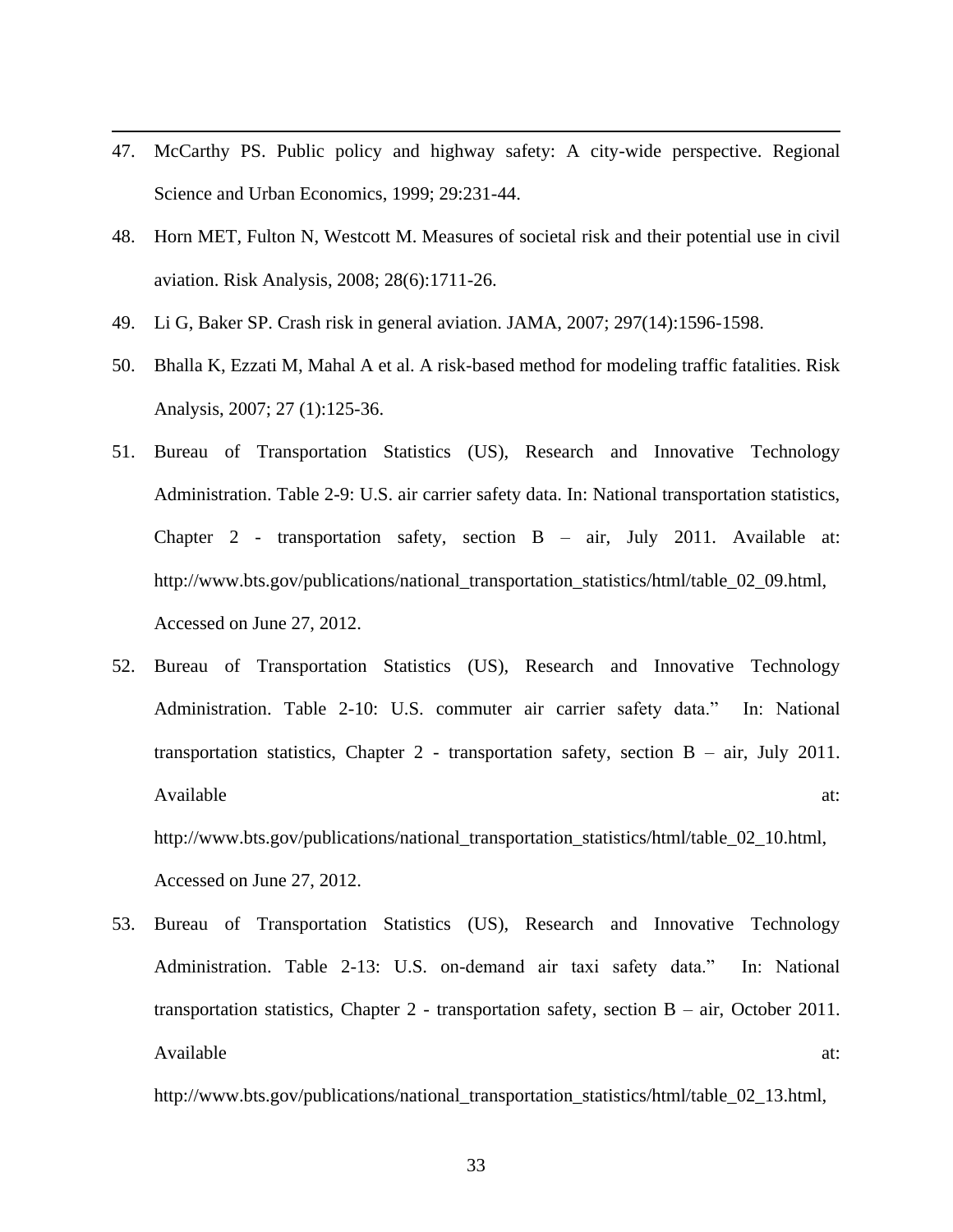- 47. McCarthy PS. Public policy and highway safety: A city-wide perspective. Regional Science and Urban Economics, 1999; 29:231-44.
- 48. Horn MET, Fulton N, Westcott M. Measures of societal risk and their potential use in civil aviation. Risk Analysis, 2008; 28(6):1711-26.
- 49. Li G, Baker SP. Crash risk in general aviation. JAMA, 2007; 297(14):1596-1598.

 $\overline{a}$ 

- 50. Bhalla K, Ezzati M, Mahal A et al. A risk-based method for modeling traffic fatalities. Risk Analysis, 2007; 27 (1):125-36.
- 51. Bureau of Transportation Statistics (US), Research and Innovative Technology Administration. Table 2-9: U.S. air carrier safety data. In: National transportation statistics, Chapter 2 - transportation safety, section B – air, July 2011. Available at: http://www.bts.gov/publications/national\_transportation\_statistics/html/table\_02\_09.html, Accessed on June 27, 2012.
- 52. Bureau of Transportation Statistics (US), Research and Innovative Technology Administration. Table 2-10: U.S. commuter air carrier safety data." In: National transportation statistics, Chapter 2 - transportation safety, section  $B - air$ , July 2011. Available at:  $\alpha$ http://www.bts.gov/publications/national\_transportation\_statistics/html/table\_02\_10.html, Accessed on June 27, 2012.
- 53. Bureau of Transportation Statistics (US), Research and Innovative Technology Administration. Table 2-13: U.S. on-demand air taxi safety data." In: National transportation statistics, Chapter 2 - transportation safety, section B – air, October 2011. Available at:  $\alpha$

http://www.bts.gov/publications/national\_transportation\_statistics/html/table\_02\_13.html,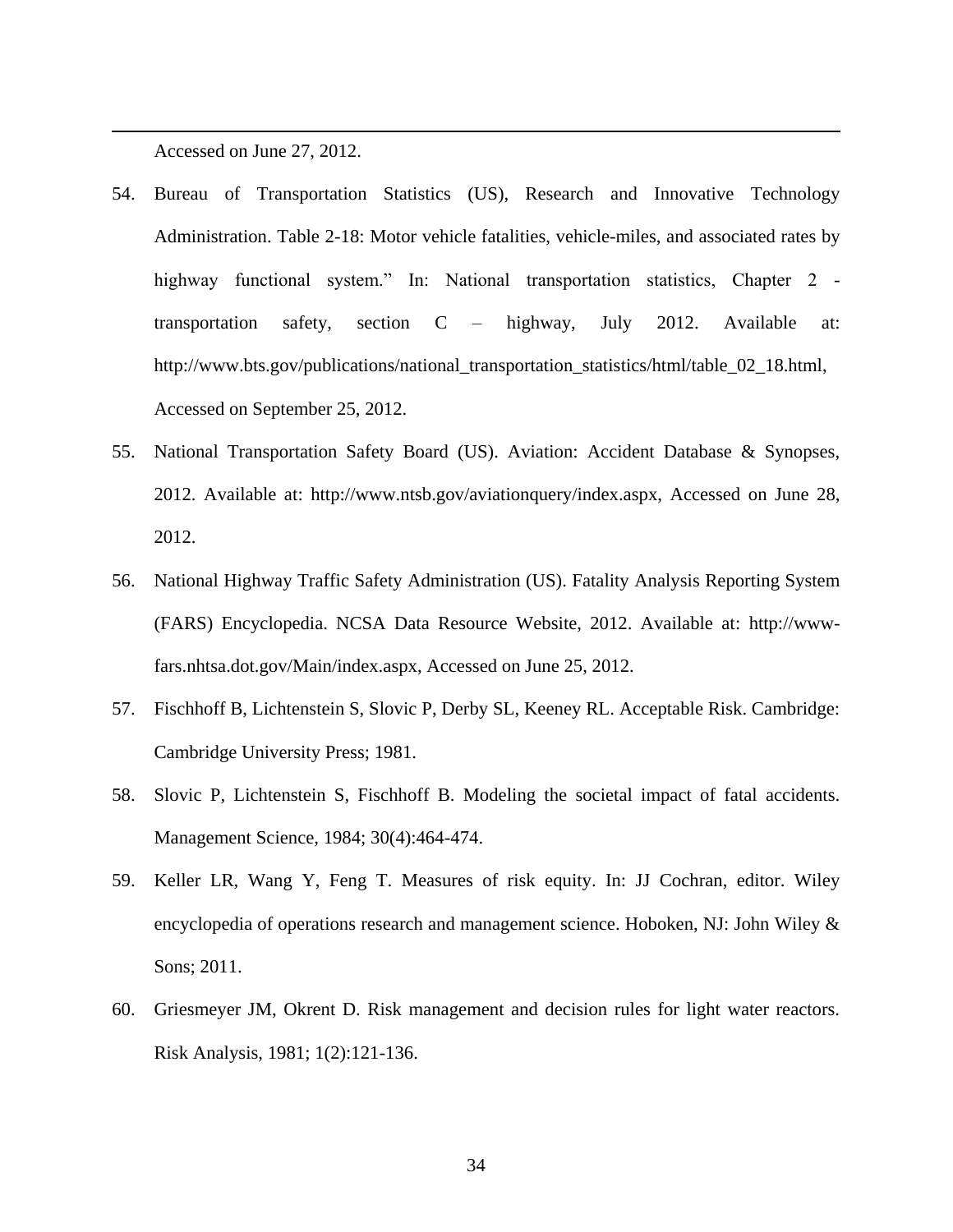Accessed on June 27, 2012.

- 54. Bureau of Transportation Statistics (US), Research and Innovative Technology Administration. Table 2-18: Motor vehicle fatalities, vehicle-miles, and associated rates by highway functional system." In: National transportation statistics, Chapter 2 transportation safety, section C – highway, July 2012. Available at: http://www.bts.gov/publications/national\_transportation\_statistics/html/table\_02\_18.html, Accessed on September 25, 2012.
- 55. National Transportation Safety Board (US). Aviation: Accident Database & Synopses, 2012. Available at: http://www.ntsb.gov/aviationquery/index.aspx, Accessed on June 28, 2012.
- 56. National Highway Traffic Safety Administration (US). Fatality Analysis Reporting System (FARS) Encyclopedia. NCSA Data Resource Website, 2012. Available at: http://wwwfars.nhtsa.dot.gov/Main/index.aspx, Accessed on June 25, 2012.
- 57. Fischhoff B, Lichtenstein S, Slovic P, Derby SL, Keeney RL. Acceptable Risk. Cambridge: Cambridge University Press; 1981.
- 58. Slovic P, Lichtenstein S, Fischhoff B. Modeling the societal impact of fatal accidents. Management Science, 1984; 30(4):464-474.
- 59. Keller LR, Wang Y, Feng T. Measures of risk equity. In: JJ Cochran, editor. Wiley encyclopedia of operations research and management science. Hoboken, NJ: John Wiley & Sons; 2011.
- 60. Griesmeyer JM, Okrent D. Risk management and decision rules for light water reactors. Risk Analysis, 1981; 1(2):121-136.